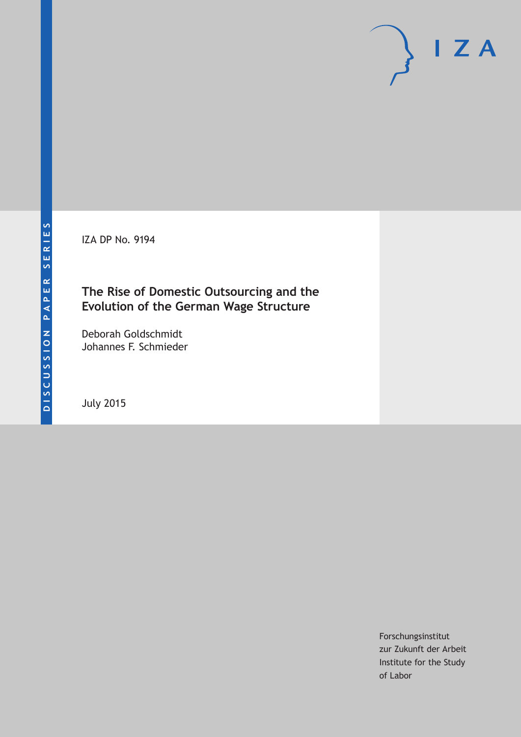IZA DP No. 9194

## **The Rise of Domestic Outsourcing and the Evolution of the German Wage Structure**

Deborah Goldschmidt Johannes F. Schmieder

July 2015

Forschungsinstitut zur Zukunft der Arbeit Institute for the Study of Labor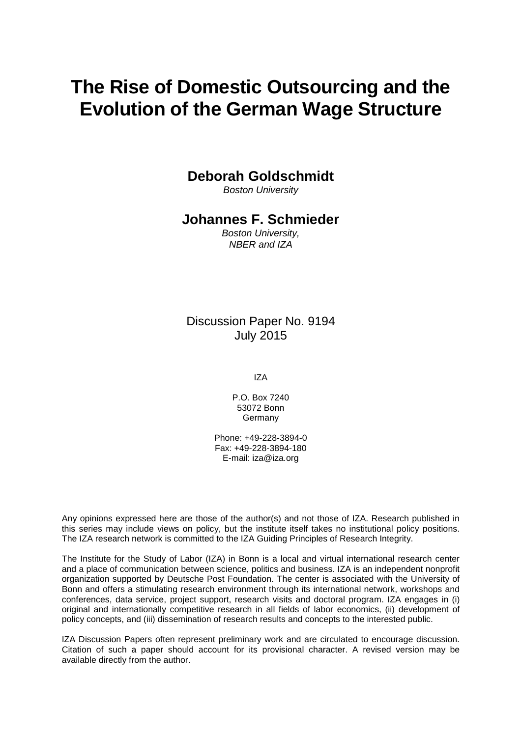# **The Rise of Domestic Outsourcing and the Evolution of the German Wage Structure**

### **Deborah Goldschmidt**

*Boston University*

### **Johannes F. Schmieder**

*Boston University, NBER and IZA*

### Discussion Paper No. 9194 July 2015

IZA

P.O. Box 7240 53072 Bonn Germany

Phone: +49-228-3894-0 Fax: +49-228-3894-180 E-mail: iza@iza.org

Any opinions expressed here are those of the author(s) and not those of IZA. Research published in this series may include views on policy, but the institute itself takes no institutional policy positions. The IZA research network is committed to the IZA Guiding Principles of Research Integrity.

The Institute for the Study of Labor (IZA) in Bonn is a local and virtual international research center and a place of communication between science, politics and business. IZA is an independent nonprofit organization supported by Deutsche Post Foundation. The center is associated with the University of Bonn and offers a stimulating research environment through its international network, workshops and conferences, data service, project support, research visits and doctoral program. IZA engages in (i) original and internationally competitive research in all fields of labor economics, (ii) development of policy concepts, and (iii) dissemination of research results and concepts to the interested public.

IZA Discussion Papers often represent preliminary work and are circulated to encourage discussion. Citation of such a paper should account for its provisional character. A revised version may be available directly from the author.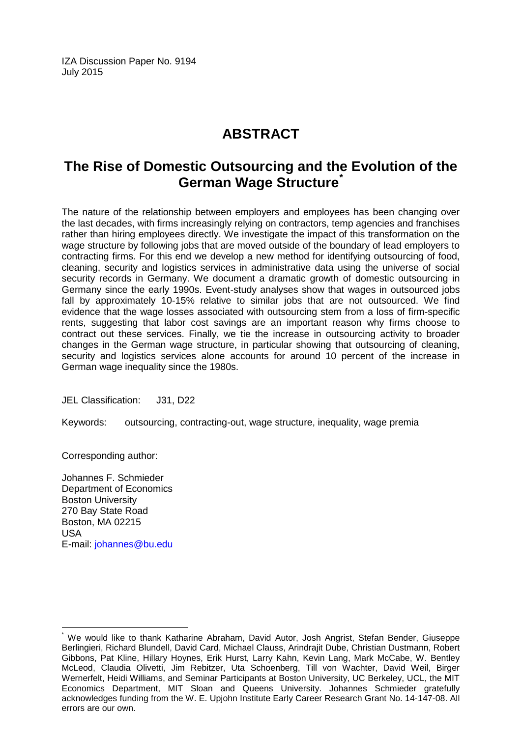IZA Discussion Paper No. 9194 July 2015

# **ABSTRACT**

# **The Rise of Domestic Outsourcing and the Evolution of the German Wage Structure[\\*](#page-2-0)**

The nature of the relationship between employers and employees has been changing over the last decades, with firms increasingly relying on contractors, temp agencies and franchises rather than hiring employees directly. We investigate the impact of this transformation on the wage structure by following jobs that are moved outside of the boundary of lead employers to contracting firms. For this end we develop a new method for identifying outsourcing of food, cleaning, security and logistics services in administrative data using the universe of social security records in Germany. We document a dramatic growth of domestic outsourcing in Germany since the early 1990s. Event-study analyses show that wages in outsourced jobs fall by approximately 10-15% relative to similar jobs that are not outsourced. We find evidence that the wage losses associated with outsourcing stem from a loss of firm-specific rents, suggesting that labor cost savings are an important reason why firms choose to contract out these services. Finally, we tie the increase in outsourcing activity to broader changes in the German wage structure, in particular showing that outsourcing of cleaning, security and logistics services alone accounts for around 10 percent of the increase in German wage inequality since the 1980s.

JEL Classification: J31, D22

Keywords: outsourcing, contracting-out, wage structure, inequality, wage premia

Corresponding author:

Johannes F. Schmieder Department of Economics Boston University 270 Bay State Road Boston, MA 02215 USA E-mail: [johannes@bu.edu](mailto:johannes@bu.edu)

<span id="page-2-0"></span>We would like to thank Katharine Abraham, David Autor, Josh Angrist, Stefan Bender, Giuseppe Berlingieri, Richard Blundell, David Card, Michael Clauss, Arindrajit Dube, Christian Dustmann, Robert Gibbons, Pat Kline, Hillary Hoynes, Erik Hurst, Larry Kahn, Kevin Lang, Mark McCabe, W. Bentley McLeod, Claudia Olivetti, Jim Rebitzer, Uta Schoenberg, Till von Wachter, David Weil, Birger Wernerfelt, Heidi Williams, and Seminar Participants at Boston University, UC Berkeley, UCL, the MIT Economics Department, MIT Sloan and Queens University. Johannes Schmieder gratefully acknowledges funding from the W. E. Upjohn Institute Early Career Research Grant No. 14-147-08. All errors are our own.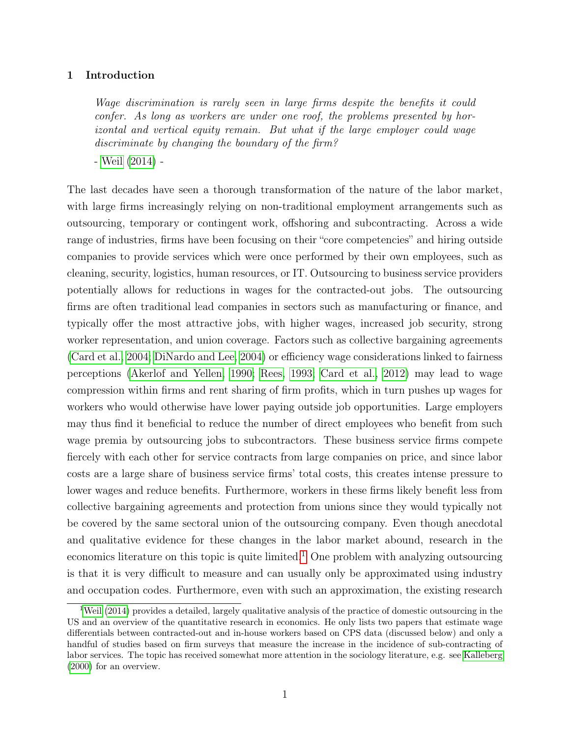#### 1 Introduction

Wage discrimination is rarely seen in large firms despite the benefits it could confer. As long as workers are under one roof, the problems presented by horizontal and vertical equity remain. But what if the large employer could wage discriminate by changing the boundary of the firm?

- [Weil](#page-37-0) [\(2014\)](#page-37-0) -

The last decades have seen a thorough transformation of the nature of the labor market, with large firms increasingly relying on non-traditional employment arrangements such as outsourcing, temporary or contingent work, offshoring and subcontracting. Across a wide range of industries, firms have been focusing on their "core competencies" and hiring outside companies to provide services which were once performed by their own employees, such as cleaning, security, logistics, human resources, or IT. Outsourcing to business service providers potentially allows for reductions in wages for the contracted-out jobs. The outsourcing firms are often traditional lead companies in sectors such as manufacturing or finance, and typically offer the most attractive jobs, with higher wages, increased job security, strong worker representation, and union coverage. Factors such as collective bargaining agreements [\(Card et al., 2004;](#page-35-0) [DiNardo and Lee, 2004\)](#page-35-1) or efficiency wage considerations linked to fairness perceptions [\(Akerlof and Yellen, 1990;](#page-35-2) [Rees, 1993;](#page-37-1) [Card et al., 2012\)](#page-35-3) may lead to wage compression within firms and rent sharing of firm profits, which in turn pushes up wages for workers who would otherwise have lower paying outside job opportunities. Large employers may thus find it beneficial to reduce the number of direct employees who benefit from such wage premia by outsourcing jobs to subcontractors. These business service firms compete fiercely with each other for service contracts from large companies on price, and since labor costs are a large share of business service firms' total costs, this creates intense pressure to lower wages and reduce benefits. Furthermore, workers in these firms likely benefit less from collective bargaining agreements and protection from unions since they would typically not be covered by the same sectoral union of the outsourcing company. Even though anecdotal and qualitative evidence for these changes in the labor market abound, research in the economics literature on this topic is quite limited.<sup>[1](#page-3-0)</sup> One problem with analyzing outsourcing is that it is very difficult to measure and can usually only be approximated using industry and occupation codes. Furthermore, even with such an approximation, the existing research

<span id="page-3-0"></span><sup>1</sup>[Weil](#page-37-0) [\(2014\)](#page-37-0) provides a detailed, largely qualitative analysis of the practice of domestic outsourcing in the US and an overview of the quantitative research in economics. He only lists two papers that estimate wage differentials between contracted-out and in-house workers based on CPS data (discussed below) and only a handful of studies based on firm surveys that measure the increase in the incidence of sub-contracting of labor services. The topic has received somewhat more attention in the sociology literature, e.g. see [Kalleberg](#page-36-0) [\(2000\)](#page-36-0) for an overview.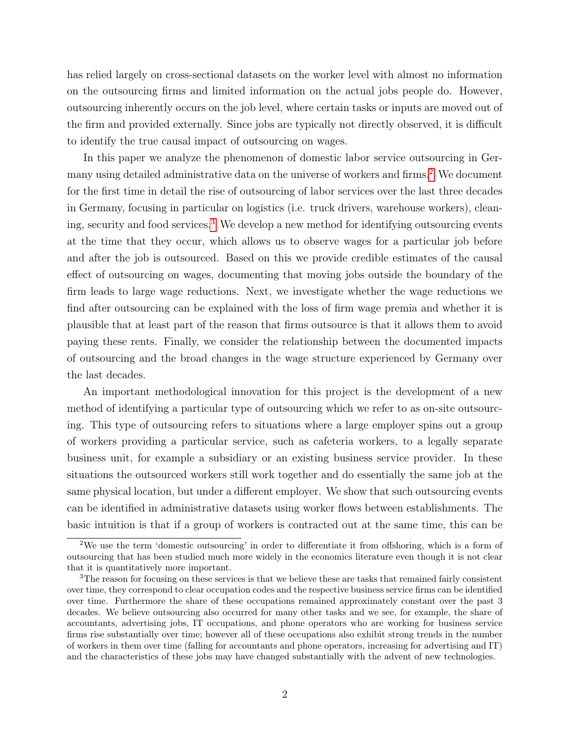has relied largely on cross-sectional datasets on the worker level with almost no information on the outsourcing firms and limited information on the actual jobs people do. However, outsourcing inherently occurs on the job level, where certain tasks or inputs are moved out of the firm and provided externally. Since jobs are typically not directly observed, it is difficult to identify the true causal impact of outsourcing on wages.

In this paper we analyze the phenomenon of domestic labor service outsourcing in Ger-many using detailed administrative data on the universe of workers and firms.<sup>[2](#page-4-0)</sup> We document for the first time in detail the rise of outsourcing of labor services over the last three decades in Germany, focusing in particular on logistics (i.e. truck drivers, warehouse workers), cleaning, security and food services.[3](#page-4-1) We develop a new method for identifying outsourcing events at the time that they occur, which allows us to observe wages for a particular job before and after the job is outsourced. Based on this we provide credible estimates of the causal effect of outsourcing on wages, documenting that moving jobs outside the boundary of the firm leads to large wage reductions. Next, we investigate whether the wage reductions we find after outsourcing can be explained with the loss of firm wage premia and whether it is plausible that at least part of the reason that firms outsource is that it allows them to avoid paying these rents. Finally, we consider the relationship between the documented impacts of outsourcing and the broad changes in the wage structure experienced by Germany over the last decades.

An important methodological innovation for this project is the development of a new method of identifying a particular type of outsourcing which we refer to as on-site outsourcing. This type of outsourcing refers to situations where a large employer spins out a group of workers providing a particular service, such as cafeteria workers, to a legally separate business unit, for example a subsidiary or an existing business service provider. In these situations the outsourced workers still work together and do essentially the same job at the same physical location, but under a different employer. We show that such outsourcing events can be identified in administrative datasets using worker flows between establishments. The basic intuition is that if a group of workers is contracted out at the same time, this can be

<span id="page-4-0"></span><sup>&</sup>lt;sup>2</sup>We use the term 'domestic outsourcing' in order to differentiate it from offshoring, which is a form of outsourcing that has been studied much more widely in the economics literature even though it is not clear that it is quantitatively more important.

<span id="page-4-1"></span><sup>3</sup>The reason for focusing on these services is that we believe these are tasks that remained fairly consistent over time, they correspond to clear occupation codes and the respective business service firms can be identified over time. Furthermore the share of these occupations remained approximately constant over the past 3 decades. We believe outsourcing also occurred for many other tasks and we see, for example, the share of accountants, advertising jobs, IT occupations, and phone operators who are working for business service firms rise substantially over time; however all of these occupations also exhibit strong trends in the number of workers in them over time (falling for accountants and phone operators, increasing for advertising and IT) and the characteristics of these jobs may have changed substantially with the advent of new technologies.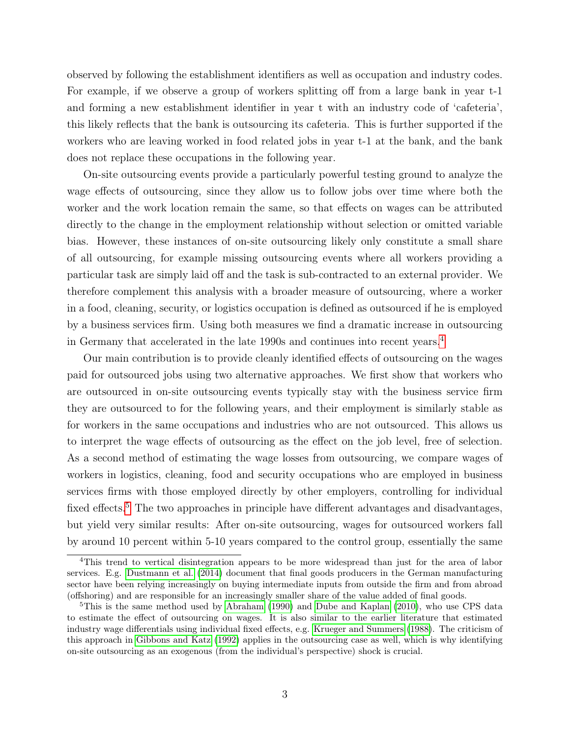observed by following the establishment identifiers as well as occupation and industry codes. For example, if we observe a group of workers splitting off from a large bank in year t-1 and forming a new establishment identifier in year t with an industry code of 'cafeteria', this likely reflects that the bank is outsourcing its cafeteria. This is further supported if the workers who are leaving worked in food related jobs in year t-1 at the bank, and the bank does not replace these occupations in the following year.

On-site outsourcing events provide a particularly powerful testing ground to analyze the wage effects of outsourcing, since they allow us to follow jobs over time where both the worker and the work location remain the same, so that effects on wages can be attributed directly to the change in the employment relationship without selection or omitted variable bias. However, these instances of on-site outsourcing likely only constitute a small share of all outsourcing, for example missing outsourcing events where all workers providing a particular task are simply laid off and the task is sub-contracted to an external provider. We therefore complement this analysis with a broader measure of outsourcing, where a worker in a food, cleaning, security, or logistics occupation is defined as outsourced if he is employed by a business services firm. Using both measures we find a dramatic increase in outsourcing in Germany that accelerated in the late 1990s and continues into recent years.[4](#page-5-0)

Our main contribution is to provide cleanly identified effects of outsourcing on the wages paid for outsourced jobs using two alternative approaches. We first show that workers who are outsourced in on-site outsourcing events typically stay with the business service firm they are outsourced to for the following years, and their employment is similarly stable as for workers in the same occupations and industries who are not outsourced. This allows us to interpret the wage effects of outsourcing as the effect on the job level, free of selection. As a second method of estimating the wage losses from outsourcing, we compare wages of workers in logistics, cleaning, food and security occupations who are employed in business services firms with those employed directly by other employers, controlling for individual fixed effects.<sup>[5](#page-5-1)</sup> The two approaches in principle have different advantages and disadvantages, but yield very similar results: After on-site outsourcing, wages for outsourced workers fall by around 10 percent within 5-10 years compared to the control group, essentially the same

<span id="page-5-0"></span><sup>4</sup>This trend to vertical disintegration appears to be more widespread than just for the area of labor services. E.g. [Dustmann et al.](#page-36-1) [\(2014\)](#page-36-1) document that final goods producers in the German manufacturing sector have been relying increasingly on buying intermediate inputs from outside the firm and from abroad (offshoring) and are responsible for an increasingly smaller share of the value added of final goods.

<span id="page-5-1"></span><sup>&</sup>lt;sup>5</sup>This is the same method used by [Abraham](#page-34-0) [\(1990\)](#page-34-0) and [Dube and Kaplan](#page-36-2) [\(2010\)](#page-36-2), who use CPS data to estimate the effect of outsourcing on wages. It is also similar to the earlier literature that estimated industry wage differentials using individual fixed effects, e.g. [Krueger and Summers](#page-36-3) [\(1988\)](#page-36-3). The criticism of this approach in [Gibbons and Katz](#page-36-4) [\(1992\)](#page-36-4) applies in the outsourcing case as well, which is why identifying on-site outsourcing as an exogenous (from the individual's perspective) shock is crucial.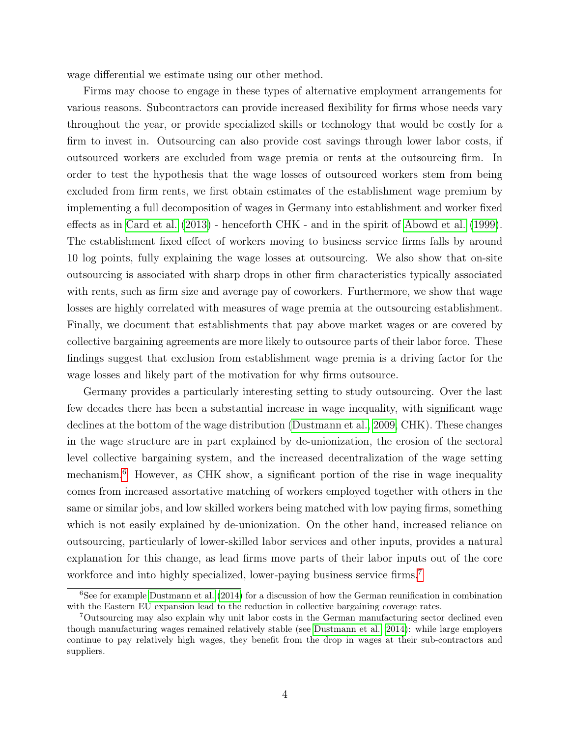wage differential we estimate using our other method.

Firms may choose to engage in these types of alternative employment arrangements for various reasons. Subcontractors can provide increased flexibility for firms whose needs vary throughout the year, or provide specialized skills or technology that would be costly for a firm to invest in. Outsourcing can also provide cost savings through lower labor costs, if outsourced workers are excluded from wage premia or rents at the outsourcing firm. In order to test the hypothesis that the wage losses of outsourced workers stem from being excluded from firm rents, we first obtain estimates of the establishment wage premium by implementing a full decomposition of wages in Germany into establishment and worker fixed effects as in [Card et al.](#page-35-4) [\(2013\)](#page-35-4) - henceforth CHK - and in the spirit of [Abowd et al.](#page-34-1) [\(1999\)](#page-34-1). The establishment fixed effect of workers moving to business service firms falls by around 10 log points, fully explaining the wage losses at outsourcing. We also show that on-site outsourcing is associated with sharp drops in other firm characteristics typically associated with rents, such as firm size and average pay of coworkers. Furthermore, we show that wage losses are highly correlated with measures of wage premia at the outsourcing establishment. Finally, we document that establishments that pay above market wages or are covered by collective bargaining agreements are more likely to outsource parts of their labor force. These findings suggest that exclusion from establishment wage premia is a driving factor for the wage losses and likely part of the motivation for why firms outsource.

Germany provides a particularly interesting setting to study outsourcing. Over the last few decades there has been a substantial increase in wage inequality, with significant wage declines at the bottom of the wage distribution [\(Dustmann et al., 2009,](#page-36-5) CHK). These changes in the wage structure are in part explained by de-unionization, the erosion of the sectoral level collective bargaining system, and the increased decentralization of the wage setting mechanism.<sup>[6](#page-6-0)</sup> However, as CHK show, a significant portion of the rise in wage inequality comes from increased assortative matching of workers employed together with others in the same or similar jobs, and low skilled workers being matched with low paying firms, something which is not easily explained by de-unionization. On the other hand, increased reliance on outsourcing, particularly of lower-skilled labor services and other inputs, provides a natural explanation for this change, as lead firms move parts of their labor inputs out of the core workforce and into highly specialized, lower-paying business service firms.<sup>[7](#page-6-1)</sup>

<span id="page-6-0"></span><sup>6</sup>See for example [Dustmann et al.](#page-36-1) [\(2014\)](#page-36-1) for a discussion of how the German reunification in combination with the Eastern EU expansion lead to the reduction in collective bargaining coverage rates.

<span id="page-6-1"></span><sup>7</sup>Outsourcing may also explain why unit labor costs in the German manufacturing sector declined even though manufacturing wages remained relatively stable (see [Dustmann et al., 2014\)](#page-36-1): while large employers continue to pay relatively high wages, they benefit from the drop in wages at their sub-contractors and suppliers.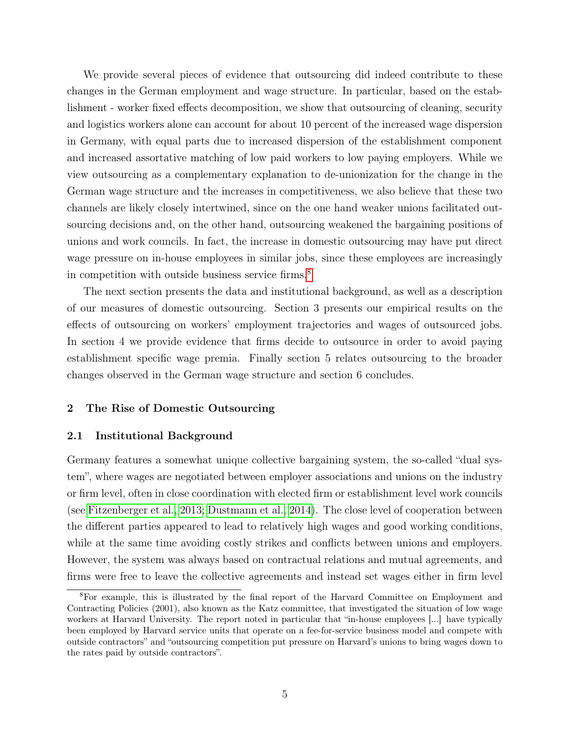We provide several pieces of evidence that outsourcing did indeed contribute to these changes in the German employment and wage structure. In particular, based on the establishment - worker fixed effects decomposition, we show that outsourcing of cleaning, security and logistics workers alone can account for about 10 percent of the increased wage dispersion in Germany, with equal parts due to increased dispersion of the establishment component and increased assortative matching of low paid workers to low paying employers. While we view outsourcing as a complementary explanation to de-unionization for the change in the German wage structure and the increases in competitiveness, we also believe that these two channels are likely closely intertwined, since on the one hand weaker unions facilitated outsourcing decisions and, on the other hand, outsourcing weakened the bargaining positions of unions and work councils. In fact, the increase in domestic outsourcing may have put direct wage pressure on in-house employees in similar jobs, since these employees are increasingly in competition with outside business service firms.<sup>[8](#page-7-0)</sup>

The next section presents the data and institutional background, as well as a description of our measures of domestic outsourcing. Section 3 presents our empirical results on the effects of outsourcing on workers' employment trajectories and wages of outsourced jobs. In section 4 we provide evidence that firms decide to outsource in order to avoid paying establishment specific wage premia. Finally section 5 relates outsourcing to the broader changes observed in the German wage structure and section 6 concludes.

#### 2 The Rise of Domestic Outsourcing

#### 2.1 Institutional Background

Germany features a somewhat unique collective bargaining system, the so-called "dual system", where wages are negotiated between employer associations and unions on the industry or firm level, often in close coordination with elected firm or establishment level work councils (see [Fitzenberger et al., 2013;](#page-36-6) [Dustmann et al., 2014\)](#page-36-1). The close level of cooperation between the different parties appeared to lead to relatively high wages and good working conditions, while at the same time avoiding costly strikes and conflicts between unions and employers. However, the system was always based on contractual relations and mutual agreements, and firms were free to leave the collective agreements and instead set wages either in firm level

<span id="page-7-0"></span><sup>8</sup>For example, this is illustrated by the final report of the Harvard Committee on Employment and Contracting Policies (2001), also known as the Katz committee, that investigated the situation of low wage workers at Harvard University. The report noted in particular that "in-house employees [...] have typically been employed by Harvard service units that operate on a fee-for-service business model and compete with outside contractors" and "outsourcing competition put pressure on Harvard's unions to bring wages down to the rates paid by outside contractors".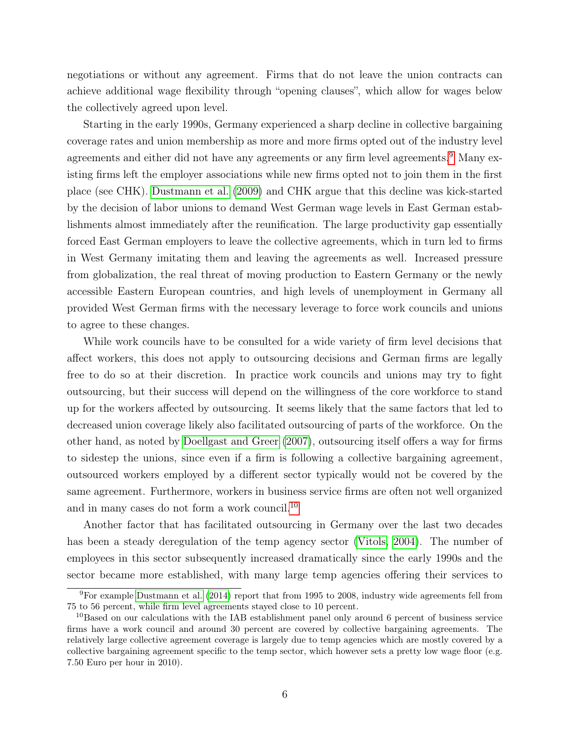negotiations or without any agreement. Firms that do not leave the union contracts can achieve additional wage flexibility through "opening clauses", which allow for wages below the collectively agreed upon level.

Starting in the early 1990s, Germany experienced a sharp decline in collective bargaining coverage rates and union membership as more and more firms opted out of the industry level agreements and either did not have any agreements or any firm level agreements.<sup>[9](#page-8-0)</sup> Many existing firms left the employer associations while new firms opted not to join them in the first place (see CHK). [Dustmann et al.](#page-36-5) [\(2009\)](#page-36-5) and CHK argue that this decline was kick-started by the decision of labor unions to demand West German wage levels in East German establishments almost immediately after the reunification. The large productivity gap essentially forced East German employers to leave the collective agreements, which in turn led to firms in West Germany imitating them and leaving the agreements as well. Increased pressure from globalization, the real threat of moving production to Eastern Germany or the newly accessible Eastern European countries, and high levels of unemployment in Germany all provided West German firms with the necessary leverage to force work councils and unions to agree to these changes.

While work councils have to be consulted for a wide variety of firm level decisions that affect workers, this does not apply to outsourcing decisions and German firms are legally free to do so at their discretion. In practice work councils and unions may try to fight outsourcing, but their success will depend on the willingness of the core workforce to stand up for the workers affected by outsourcing. It seems likely that the same factors that led to decreased union coverage likely also facilitated outsourcing of parts of the workforce. On the other hand, as noted by [Doellgast and Greer](#page-35-5) [\(2007\)](#page-35-5), outsourcing itself offers a way for firms to sidestep the unions, since even if a firm is following a collective bargaining agreement, outsourced workers employed by a different sector typically would not be covered by the same agreement. Furthermore, workers in business service firms are often not well organized and in many cases do not form a work council.<sup>[10](#page-8-1)</sup>

Another factor that has facilitated outsourcing in Germany over the last two decades has been a steady deregulation of the temp agency sector [\(Vitols, 2004\)](#page-37-2). The number of employees in this sector subsequently increased dramatically since the early 1990s and the sector became more established, with many large temp agencies offering their services to

<span id="page-8-0"></span><sup>9</sup>For example [Dustmann et al.](#page-36-1) [\(2014\)](#page-36-1) report that from 1995 to 2008, industry wide agreements fell from 75 to 56 percent, while firm level agreements stayed close to 10 percent.

<span id="page-8-1"></span><sup>&</sup>lt;sup>10</sup>Based on our calculations with the IAB establishment panel only around 6 percent of business service firms have a work council and around 30 percent are covered by collective bargaining agreements. The relatively large collective agreement coverage is largely due to temp agencies which are mostly covered by a collective bargaining agreement specific to the temp sector, which however sets a pretty low wage floor (e.g. 7.50 Euro per hour in 2010).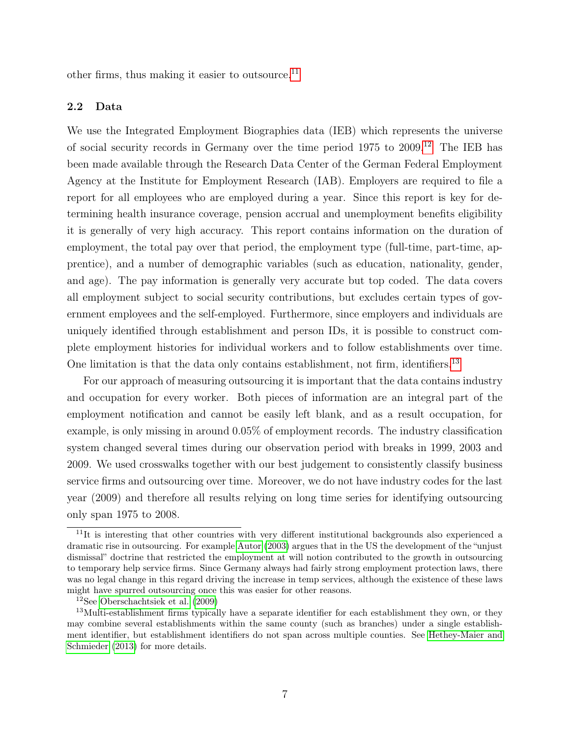other firms, thus making it easier to outsource. $^{11}$  $^{11}$  $^{11}$ 

#### 2.2 Data

We use the Integrated Employment Biographies data (IEB) which represents the universe of social security records in Germany over the time period 1975 to 2009.[12](#page-9-1) The IEB has been made available through the Research Data Center of the German Federal Employment Agency at the Institute for Employment Research (IAB). Employers are required to file a report for all employees who are employed during a year. Since this report is key for determining health insurance coverage, pension accrual and unemployment benefits eligibility it is generally of very high accuracy. This report contains information on the duration of employment, the total pay over that period, the employment type (full-time, part-time, apprentice), and a number of demographic variables (such as education, nationality, gender, and age). The pay information is generally very accurate but top coded. The data covers all employment subject to social security contributions, but excludes certain types of government employees and the self-employed. Furthermore, since employers and individuals are uniquely identified through establishment and person IDs, it is possible to construct complete employment histories for individual workers and to follow establishments over time. One limitation is that the data only contains establishment, not firm, identifiers.<sup>[13](#page-9-2)</sup>

For our approach of measuring outsourcing it is important that the data contains industry and occupation for every worker. Both pieces of information are an integral part of the employment notification and cannot be easily left blank, and as a result occupation, for example, is only missing in around 0.05% of employment records. The industry classification system changed several times during our observation period with breaks in 1999, 2003 and 2009. We used crosswalks together with our best judgement to consistently classify business service firms and outsourcing over time. Moreover, we do not have industry codes for the last year (2009) and therefore all results relying on long time series for identifying outsourcing only span 1975 to 2008.

<span id="page-9-0"></span><sup>&</sup>lt;sup>11</sup>It is interesting that other countries with very different institutional backgrounds also experienced a dramatic rise in outsourcing. For example [Autor](#page-35-6) [\(2003\)](#page-35-6) argues that in the US the development of the "unjust dismissal" doctrine that restricted the employment at will notion contributed to the growth in outsourcing to temporary help service firms. Since Germany always had fairly strong employment protection laws, there was no legal change in this regard driving the increase in temp services, although the existence of these laws might have spurred outsourcing once this was easier for other reasons.

<span id="page-9-2"></span><span id="page-9-1"></span><sup>12</sup>See [Oberschachtsiek et al.](#page-36-7) [\(2009\)](#page-36-7)

<sup>&</sup>lt;sup>13</sup>Multi-establishment firms typically have a separate identifier for each establishment they own, or they may combine several establishments within the same county (such as branches) under a single establishment identifier, but establishment identifiers do not span across multiple counties. See [Hethey-Maier and](#page-36-8) [Schmieder](#page-36-8) [\(2013\)](#page-36-8) for more details.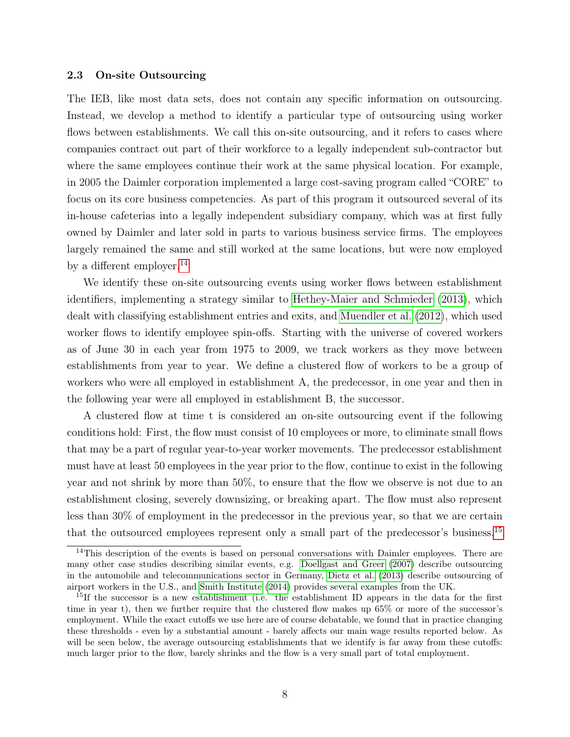#### 2.3 On-site Outsourcing

The IEB, like most data sets, does not contain any specific information on outsourcing. Instead, we develop a method to identify a particular type of outsourcing using worker flows between establishments. We call this on-site outsourcing, and it refers to cases where companies contract out part of their workforce to a legally independent sub-contractor but where the same employees continue their work at the same physical location. For example, in 2005 the Daimler corporation implemented a large cost-saving program called "CORE" to focus on its core business competencies. As part of this program it outsourced several of its in-house cafeterias into a legally independent subsidiary company, which was at first fully owned by Daimler and later sold in parts to various business service firms. The employees largely remained the same and still worked at the same locations, but were now employed by a different employer.<sup>[14](#page-10-0)</sup>

We identify these on-site outsourcing events using worker flows between establishment identifiers, implementing a strategy similar to [Hethey-Maier and Schmieder](#page-36-8) [\(2013\)](#page-36-8), which dealt with classifying establishment entries and exits, and [Muendler et al.](#page-36-9) [\(2012\)](#page-36-9), which used worker flows to identify employee spin-offs. Starting with the universe of covered workers as of June 30 in each year from 1975 to 2009, we track workers as they move between establishments from year to year. We define a clustered flow of workers to be a group of workers who were all employed in establishment A, the predecessor, in one year and then in the following year were all employed in establishment B, the successor.

A clustered flow at time t is considered an on-site outsourcing event if the following conditions hold: First, the flow must consist of 10 employees or more, to eliminate small flows that may be a part of regular year-to-year worker movements. The predecessor establishment must have at least 50 employees in the year prior to the flow, continue to exist in the following year and not shrink by more than 50%, to ensure that the flow we observe is not due to an establishment closing, severely downsizing, or breaking apart. The flow must also represent less than 30% of employment in the predecessor in the previous year, so that we are certain that the outsourced employees represent only a small part of the predecessor's business.[15](#page-10-1)

<span id="page-10-0"></span> $14$ This description of the events is based on personal conversations with Daimler employees. There are many other case studies describing similar events, e.g. [Doellgast and Greer](#page-35-5) [\(2007\)](#page-35-5) describe outsourcing in the automobile and telecommunications sector in Germany, [Dietz et al.](#page-35-7) [\(2013\)](#page-35-7) describe outsourcing of airport workers in the U.S., and [Smith Institute](#page-37-3) [\(2014\)](#page-37-3) provides several examples from the UK.

<span id="page-10-1"></span> $15$ If the successor is a new establishment (i.e. the establishment ID appears in the data for the first time in year t), then we further require that the clustered flow makes up 65% or more of the successor's employment. While the exact cutoffs we use here are of course debatable, we found that in practice changing these thresholds - even by a substantial amount - barely affects our main wage results reported below. As will be seen below, the average outsourcing establishments that we identify is far away from these cutoffs: much larger prior to the flow, barely shrinks and the flow is a very small part of total employment.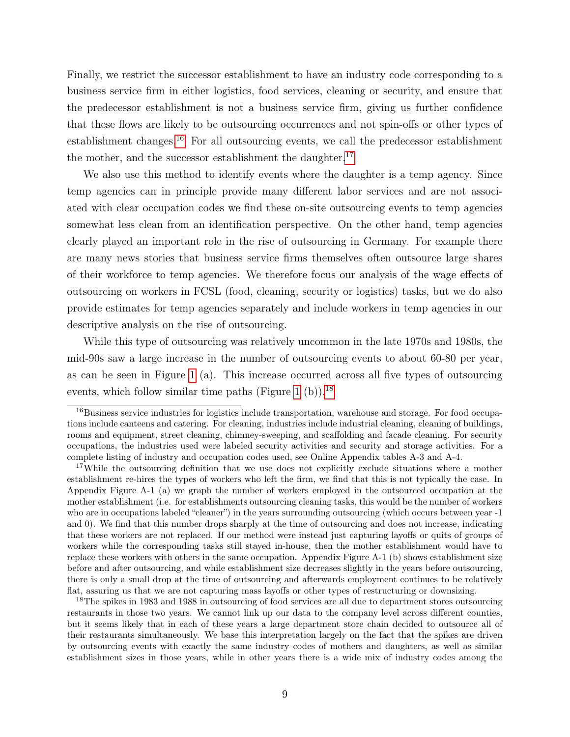Finally, we restrict the successor establishment to have an industry code corresponding to a business service firm in either logistics, food services, cleaning or security, and ensure that the predecessor establishment is not a business service firm, giving us further confidence that these flows are likely to be outsourcing occurrences and not spin-offs or other types of establishment changes.<sup>[16](#page-11-0)</sup> For all outsourcing events, we call the predecessor establishment the mother, and the successor establishment the daughter.<sup>[17](#page-11-1)</sup>

We also use this method to identify events where the daughter is a temp agency. Since temp agencies can in principle provide many different labor services and are not associated with clear occupation codes we find these on-site outsourcing events to temp agencies somewhat less clean from an identification perspective. On the other hand, temp agencies clearly played an important role in the rise of outsourcing in Germany. For example there are many news stories that business service firms themselves often outsource large shares of their workforce to temp agencies. We therefore focus our analysis of the wage effects of outsourcing on workers in FCSL (food, cleaning, security or logistics) tasks, but we do also provide estimates for temp agencies separately and include workers in temp agencies in our descriptive analysis on the rise of outsourcing.

While this type of outsourcing was relatively uncommon in the late 1970s and 1980s, the mid-90s saw a large increase in the number of outsourcing events to about 60-80 per year, as can be seen in Figure [1](#page-43-0) (a). This increase occurred across all five types of outsourcing events, which follow similar time paths (Figure [1](#page-43-0) (b)).<sup>[18](#page-11-2)</sup>

<span id="page-11-2"></span><sup>18</sup>The spikes in 1983 and 1988 in outsourcing of food services are all due to department stores outsourcing restaurants in those two years. We cannot link up our data to the company level across different counties, but it seems likely that in each of these years a large department store chain decided to outsource all of their restaurants simultaneously. We base this interpretation largely on the fact that the spikes are driven by outsourcing events with exactly the same industry codes of mothers and daughters, as well as similar establishment sizes in those years, while in other years there is a wide mix of industry codes among the

<span id="page-11-0"></span><sup>&</sup>lt;sup>16</sup>Business service industries for logistics include transportation, warehouse and storage. For food occupations include canteens and catering. For cleaning, industries include industrial cleaning, cleaning of buildings, rooms and equipment, street cleaning, chimney-sweeping, and scaffolding and facade cleaning. For security occupations, the industries used were labeled security activities and security and storage activities. For a complete listing of industry and occupation codes used, see Online Appendix tables A-3 and A-4.

<span id="page-11-1"></span><sup>&</sup>lt;sup>17</sup>While the outsourcing definition that we use does not explicitly exclude situations where a mother establishment re-hires the types of workers who left the firm, we find that this is not typically the case. In Appendix Figure A-1 (a) we graph the number of workers employed in the outsourced occupation at the mother establishment (i.e. for establishments outsourcing cleaning tasks, this would be the number of workers who are in occupations labeled "cleaner") in the years surrounding outsourcing (which occurs between year -1 and 0). We find that this number drops sharply at the time of outsourcing and does not increase, indicating that these workers are not replaced. If our method were instead just capturing layoffs or quits of groups of workers while the corresponding tasks still stayed in-house, then the mother establishment would have to replace these workers with others in the same occupation. Appendix Figure A-1 (b) shows establishment size before and after outsourcing, and while establishment size decreases slightly in the years before outsourcing, there is only a small drop at the time of outsourcing and afterwards employment continues to be relatively flat, assuring us that we are not capturing mass layoffs or other types of restructuring or downsizing.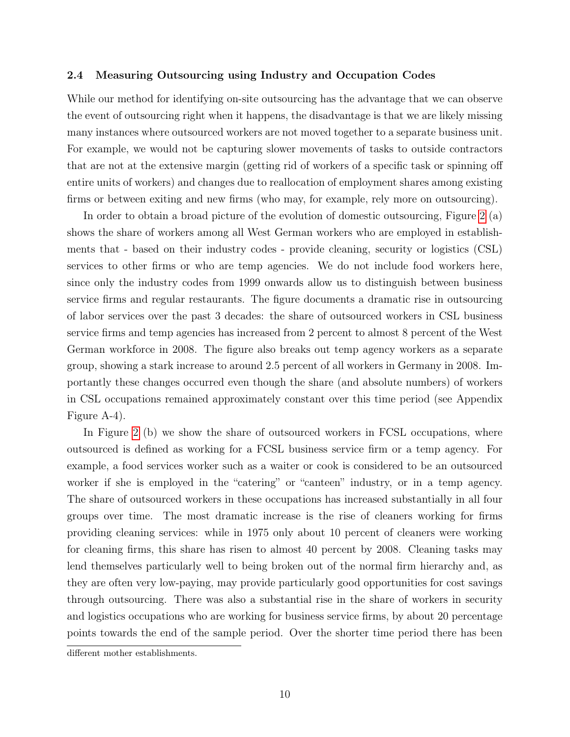#### 2.4 Measuring Outsourcing using Industry and Occupation Codes

While our method for identifying on-site outsourcing has the advantage that we can observe the event of outsourcing right when it happens, the disadvantage is that we are likely missing many instances where outsourced workers are not moved together to a separate business unit. For example, we would not be capturing slower movements of tasks to outside contractors that are not at the extensive margin (getting rid of workers of a specific task or spinning off entire units of workers) and changes due to reallocation of employment shares among existing firms or between exiting and new firms (who may, for example, rely more on outsourcing).

In order to obtain a broad picture of the evolution of domestic outsourcing, Figure [2](#page-44-0) (a) shows the share of workers among all West German workers who are employed in establishments that - based on their industry codes - provide cleaning, security or logistics (CSL) services to other firms or who are temp agencies. We do not include food workers here, since only the industry codes from 1999 onwards allow us to distinguish between business service firms and regular restaurants. The figure documents a dramatic rise in outsourcing of labor services over the past 3 decades: the share of outsourced workers in CSL business service firms and temp agencies has increased from 2 percent to almost 8 percent of the West German workforce in 2008. The figure also breaks out temp agency workers as a separate group, showing a stark increase to around 2.5 percent of all workers in Germany in 2008. Importantly these changes occurred even though the share (and absolute numbers) of workers in CSL occupations remained approximately constant over this time period (see Appendix Figure A-4).

In Figure [2](#page-44-0) (b) we show the share of outsourced workers in FCSL occupations, where outsourced is defined as working for a FCSL business service firm or a temp agency. For example, a food services worker such as a waiter or cook is considered to be an outsourced worker if she is employed in the "catering" or "canteen" industry, or in a temp agency. The share of outsourced workers in these occupations has increased substantially in all four groups over time. The most dramatic increase is the rise of cleaners working for firms providing cleaning services: while in 1975 only about 10 percent of cleaners were working for cleaning firms, this share has risen to almost 40 percent by 2008. Cleaning tasks may lend themselves particularly well to being broken out of the normal firm hierarchy and, as they are often very low-paying, may provide particularly good opportunities for cost savings through outsourcing. There was also a substantial rise in the share of workers in security and logistics occupations who are working for business service firms, by about 20 percentage points towards the end of the sample period. Over the shorter time period there has been

different mother establishments.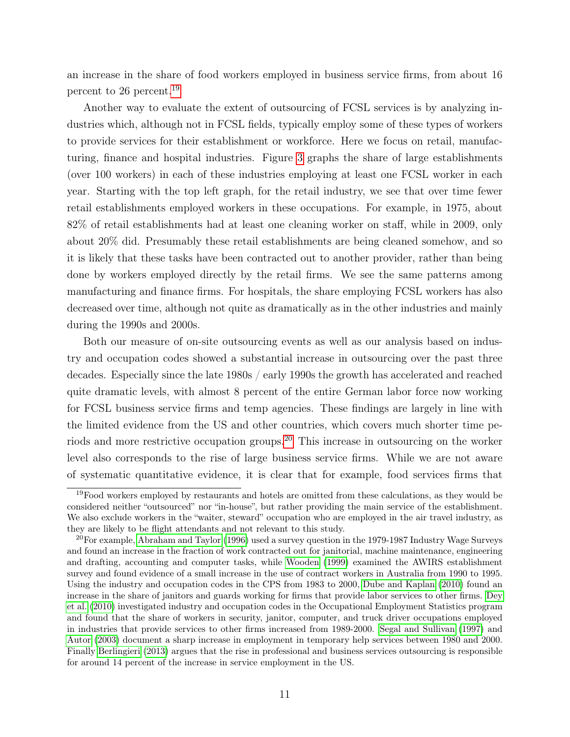an increase in the share of food workers employed in business service firms, from about 16 percent to 26 percent.[19](#page-13-0)

Another way to evaluate the extent of outsourcing of FCSL services is by analyzing industries which, although not in FCSL fields, typically employ some of these types of workers to provide services for their establishment or workforce. Here we focus on retail, manufacturing, finance and hospital industries. Figure [3](#page-45-0) graphs the share of large establishments (over 100 workers) in each of these industries employing at least one FCSL worker in each year. Starting with the top left graph, for the retail industry, we see that over time fewer retail establishments employed workers in these occupations. For example, in 1975, about 82% of retail establishments had at least one cleaning worker on staff, while in 2009, only about 20% did. Presumably these retail establishments are being cleaned somehow, and so it is likely that these tasks have been contracted out to another provider, rather than being done by workers employed directly by the retail firms. We see the same patterns among manufacturing and finance firms. For hospitals, the share employing FCSL workers has also decreased over time, although not quite as dramatically as in the other industries and mainly during the 1990s and 2000s.

Both our measure of on-site outsourcing events as well as our analysis based on industry and occupation codes showed a substantial increase in outsourcing over the past three decades. Especially since the late 1980s / early 1990s the growth has accelerated and reached quite dramatic levels, with almost 8 percent of the entire German labor force now working for FCSL business service firms and temp agencies. These findings are largely in line with the limited evidence from the US and other countries, which covers much shorter time periods and more restrictive occupation groups.[20](#page-13-1) This increase in outsourcing on the worker level also corresponds to the rise of large business service firms. While we are not aware of systematic quantitative evidence, it is clear that for example, food services firms that

<span id="page-13-0"></span><sup>&</sup>lt;sup>19</sup>Food workers employed by restaurants and hotels are omitted from these calculations, as they would be considered neither "outsourced" nor "in-house", but rather providing the main service of the establishment. We also exclude workers in the "waiter, steward" occupation who are employed in the air travel industry, as they are likely to be flight attendants and not relevant to this study.

<span id="page-13-1"></span> $^{20}$ For example, [Abraham and Taylor](#page-34-2) [\(1996\)](#page-34-2) used a survey question in the 1979-1987 Industry Wage Surveys and found an increase in the fraction of work contracted out for janitorial, machine maintenance, engineering and drafting, accounting and computer tasks, while [Wooden](#page-37-4) [\(1999\)](#page-37-4) examined the AWIRS establishment survey and found evidence of a small increase in the use of contract workers in Australia from 1990 to 1995. Using the industry and occupation codes in the CPS from 1983 to 2000, [Dube and Kaplan](#page-36-2) [\(2010\)](#page-36-2) found an increase in the share of janitors and guards working for firms that provide labor services to other firms. [Dey](#page-35-8) [et al.](#page-35-8) [\(2010\)](#page-35-8) investigated industry and occupation codes in the Occupational Employment Statistics program and found that the share of workers in security, janitor, computer, and truck driver occupations employed in industries that provide services to other firms increased from 1989-2000. [Segal and Sullivan](#page-37-5) [\(1997\)](#page-37-5) and [Autor](#page-35-6) [\(2003\)](#page-35-6) document a sharp increase in employment in temporary help services between 1980 and 2000. Finally [Berlingieri](#page-35-9) [\(2013\)](#page-35-9) argues that the rise in professional and business services outsourcing is responsible for around 14 percent of the increase in service employment in the US.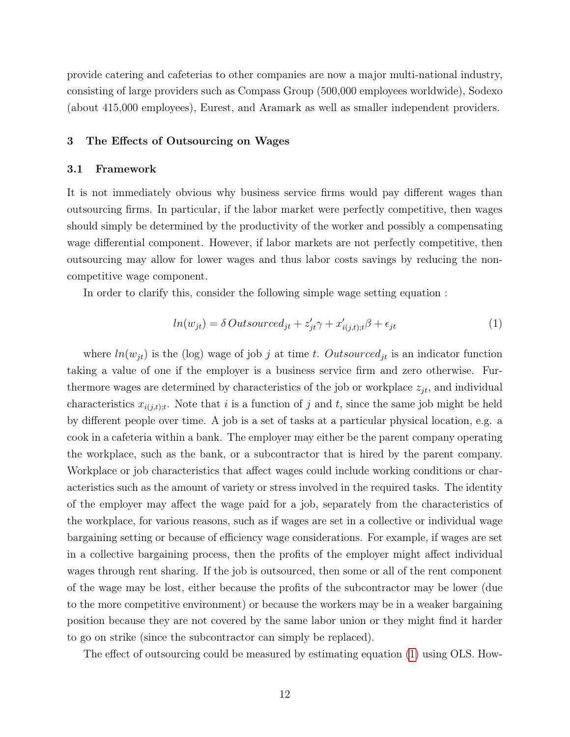provide catering and cafeterias to other companies are now a major multi-national industry, consisting of large providers such as Compass Group (500,000 employees worldwide), Sodexo (about 415,000 employees), Eurest, and Aramark as well as smaller independent providers.

#### 3 The Effects of Outsourcing on Wages

#### 3.1 Framework

It is not immediately obvious why business service firms would pay different wages than outsourcing firms. In particular, if the labor market were perfectly competitive, then wages should simply be determined by the productivity of the worker and possibly a compensating wage differential component. However, if labor markets are not perfectly competitive, then outsourcing may allow for lower wages and thus labor costs savings by reducing the noncompetitive wage component.

In order to clarify this, consider the following simple wage setting equation :

<span id="page-14-0"></span>
$$
ln(w_{jt}) = \delta\text{Outsourced}_{jt} + z'_{jt}\gamma + x'_{i(j,t);t}\beta + \epsilon_{jt}
$$
\n<sup>(1)</sup>

where  $ln(w_{jt})$  is the (log) wage of job j at time t. Outsourced<sub>jt</sub> is an indicator function taking a value of one if the employer is a business service firm and zero otherwise. Furthermore wages are determined by characteristics of the job or workplace  $z_{jt}$ , and individual characteristics  $x_{i(j,t);t}$ . Note that i is a function of j and t, since the same job might be held by different people over time. A job is a set of tasks at a particular physical location, e.g. a cook in a cafeteria within a bank. The employer may either be the parent company operating the workplace, such as the bank, or a subcontractor that is hired by the parent company. Workplace or job characteristics that affect wages could include working conditions or characteristics such as the amount of variety or stress involved in the required tasks. The identity of the employer may affect the wage paid for a job, separately from the characteristics of the workplace, for various reasons, such as if wages are set in a collective or individual wage bargaining setting or because of efficiency wage considerations. For example, if wages are set in a collective bargaining process, then the profits of the employer might affect individual wages through rent sharing. If the job is outsourced, then some or all of the rent component of the wage may be lost, either because the profits of the subcontractor may be lower (due to the more competitive environment) or because the workers may be in a weaker bargaining position because they are not covered by the same labor union or they might find it harder to go on strike (since the subcontractor can simply be replaced).

The effect of outsourcing could be measured by estimating equation [\(1\)](#page-14-0) using OLS. How-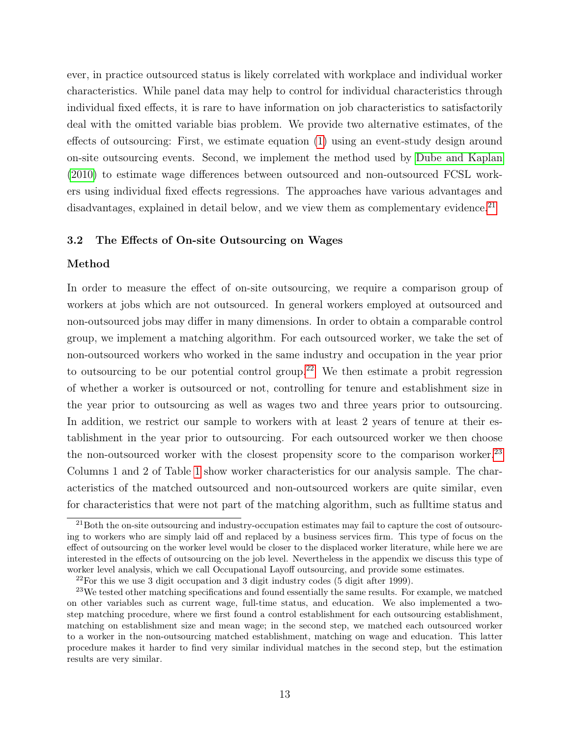ever, in practice outsourced status is likely correlated with workplace and individual worker characteristics. While panel data may help to control for individual characteristics through individual fixed effects, it is rare to have information on job characteristics to satisfactorily deal with the omitted variable bias problem. We provide two alternative estimates, of the effects of outsourcing: First, we estimate equation [\(1\)](#page-14-0) using an event-study design around on-site outsourcing events. Second, we implement the method used by [Dube and Kaplan](#page-36-2) [\(2010\)](#page-36-2) to estimate wage differences between outsourced and non-outsourced FCSL workers using individual fixed effects regressions. The approaches have various advantages and disadvantages, explained in detail below, and we view them as complementary evidence.<sup>[21](#page-15-0)</sup>

#### 3.2 The Effects of On-site Outsourcing on Wages

#### Method

In order to measure the effect of on-site outsourcing, we require a comparison group of workers at jobs which are not outsourced. In general workers employed at outsourced and non-outsourced jobs may differ in many dimensions. In order to obtain a comparable control group, we implement a matching algorithm. For each outsourced worker, we take the set of non-outsourced workers who worked in the same industry and occupation in the year prior to outsourcing to be our potential control group.<sup>[22](#page-15-1)</sup> We then estimate a probit regression of whether a worker is outsourced or not, controlling for tenure and establishment size in the year prior to outsourcing as well as wages two and three years prior to outsourcing. In addition, we restrict our sample to workers with at least 2 years of tenure at their establishment in the year prior to outsourcing. For each outsourced worker we then choose the non-outsourced worker with the closest propensity score to the comparison worker.<sup>[23](#page-15-2)</sup> Columns 1 and 2 of Table [1](#page-38-0) show worker characteristics for our analysis sample. The characteristics of the matched outsourced and non-outsourced workers are quite similar, even for characteristics that were not part of the matching algorithm, such as fulltime status and

<span id="page-15-0"></span><sup>&</sup>lt;sup>21</sup>Both the on-site outsourcing and industry-occupation estimates may fail to capture the cost of outsourcing to workers who are simply laid off and replaced by a business services firm. This type of focus on the effect of outsourcing on the worker level would be closer to the displaced worker literature, while here we are interested in the effects of outsourcing on the job level. Nevertheless in the appendix we discuss this type of worker level analysis, which we call Occupational Layoff outsourcing, and provide some estimates.

<span id="page-15-2"></span><span id="page-15-1"></span> $22$ For this we use 3 digit occupation and 3 digit industry codes (5 digit after 1999).

<sup>&</sup>lt;sup>23</sup>We tested other matching specifications and found essentially the same results. For example, we matched on other variables such as current wage, full-time status, and education. We also implemented a twostep matching procedure, where we first found a control establishment for each outsourcing establishment, matching on establishment size and mean wage; in the second step, we matched each outsourced worker to a worker in the non-outsourcing matched establishment, matching on wage and education. This latter procedure makes it harder to find very similar individual matches in the second step, but the estimation results are very similar.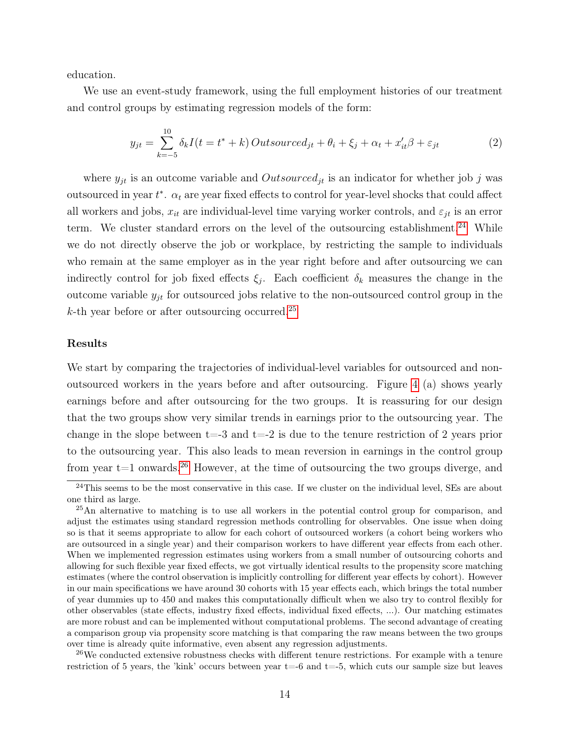education.

We use an event-study framework, using the full employment histories of our treatment and control groups by estimating regression models of the form:

<span id="page-16-3"></span>
$$
y_{jt} = \sum_{k=-5}^{10} \delta_k I(t = t^* + k) Outsource_{jt} + \theta_i + \xi_j + \alpha_t + x_{it}'\beta + \varepsilon_{jt}
$$
\n
$$
\tag{2}
$$

where  $y_{jt}$  is an outcome variable and  $Outsource_{jt}$  is an indicator for whether job j was outsourced in year  $t^*$ .  $\alpha_t$  are year fixed effects to control for year-level shocks that could affect all workers and jobs,  $x_{it}$  are individual-level time varying worker controls, and  $\varepsilon_{jt}$  is an error term. We cluster standard errors on the level of the outsourcing establishment.<sup>[24](#page-16-0)</sup> While we do not directly observe the job or workplace, by restricting the sample to individuals who remain at the same employer as in the year right before and after outsourcing we can indirectly control for job fixed effects  $\xi_j$ . Each coefficient  $\delta_k$  measures the change in the outcome variable  $y_{jt}$  for outsourced jobs relative to the non-outsourced control group in the  $k$ -th year before or after outsourcing occurred.<sup>[25](#page-16-1)</sup>

#### Results

We start by comparing the trajectories of individual-level variables for outsourced and nonoutsourced workers in the years before and after outsourcing. Figure [4](#page-46-0) (a) shows yearly earnings before and after outsourcing for the two groups. It is reassuring for our design that the two groups show very similar trends in earnings prior to the outsourcing year. The change in the slope between  $t=3$  and  $t=-2$  is due to the tenure restriction of 2 years prior to the outsourcing year. This also leads to mean reversion in earnings in the control group from year  $t=1$  onwards.<sup>[26](#page-16-2)</sup> However, at the time of outsourcing the two groups diverge, and

<span id="page-16-0"></span> $^{24}$ This seems to be the most conservative in this case. If we cluster on the individual level, SEs are about one third as large.

<span id="page-16-1"></span><sup>&</sup>lt;sup>25</sup>An alternative to matching is to use all workers in the potential control group for comparison, and adjust the estimates using standard regression methods controlling for observables. One issue when doing so is that it seems appropriate to allow for each cohort of outsourced workers (a cohort being workers who are outsourced in a single year) and their comparison workers to have different year effects from each other. When we implemented regression estimates using workers from a small number of outsourcing cohorts and allowing for such flexible year fixed effects, we got virtually identical results to the propensity score matching estimates (where the control observation is implicitly controlling for different year effects by cohort). However in our main specifications we have around 30 cohorts with 15 year effects each, which brings the total number of year dummies up to 450 and makes this computationally difficult when we also try to control flexibly for other observables (state effects, industry fixed effects, individual fixed effects, ...). Our matching estimates are more robust and can be implemented without computational problems. The second advantage of creating a comparison group via propensity score matching is that comparing the raw means between the two groups over time is already quite informative, even absent any regression adjustments.

<span id="page-16-2"></span> $^{26}$ We conducted extensive robustness checks with different tenure restrictions. For example with a tenure restriction of 5 years, the 'kink' occurs between year t=-6 and t=-5, which cuts our sample size but leaves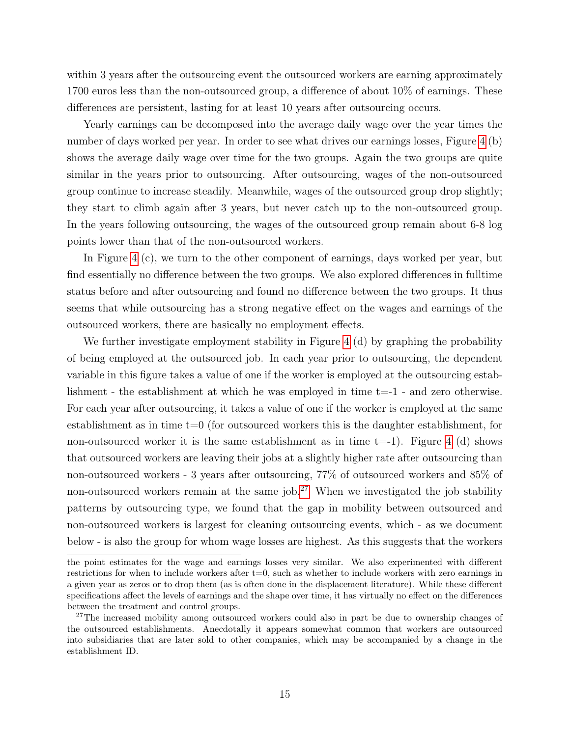within 3 years after the outsourcing event the outsourced workers are earning approximately 1700 euros less than the non-outsourced group, a difference of about 10% of earnings. These differences are persistent, lasting for at least 10 years after outsourcing occurs.

Yearly earnings can be decomposed into the average daily wage over the year times the number of days worked per year. In order to see what drives our earnings losses, Figure [4](#page-46-0) (b) shows the average daily wage over time for the two groups. Again the two groups are quite similar in the years prior to outsourcing. After outsourcing, wages of the non-outsourced group continue to increase steadily. Meanwhile, wages of the outsourced group drop slightly; they start to climb again after 3 years, but never catch up to the non-outsourced group. In the years following outsourcing, the wages of the outsourced group remain about 6-8 log points lower than that of the non-outsourced workers.

In Figure [4](#page-46-0) (c), we turn to the other component of earnings, days worked per year, but find essentially no difference between the two groups. We also explored differences in fulltime status before and after outsourcing and found no difference between the two groups. It thus seems that while outsourcing has a strong negative effect on the wages and earnings of the outsourced workers, there are basically no employment effects.

We further investigate employment stability in Figure [4](#page-46-0) (d) by graphing the probability of being employed at the outsourced job. In each year prior to outsourcing, the dependent variable in this figure takes a value of one if the worker is employed at the outsourcing establishment - the establishment at which he was employed in time  $t=-1$  - and zero otherwise. For each year after outsourcing, it takes a value of one if the worker is employed at the same establishment as in time  $t=0$  (for outsourced workers this is the daughter establishment, for non-outsourced worker it is the same establishment as in time  $t=-1$ ). Figure [4](#page-46-0) (d) shows that outsourced workers are leaving their jobs at a slightly higher rate after outsourcing than non-outsourced workers - 3 years after outsourcing, 77% of outsourced workers and 85% of non-outsourced workers remain at the same job.<sup>[27](#page-17-0)</sup> When we investigated the job stability patterns by outsourcing type, we found that the gap in mobility between outsourced and non-outsourced workers is largest for cleaning outsourcing events, which - as we document below - is also the group for whom wage losses are highest. As this suggests that the workers

the point estimates for the wage and earnings losses very similar. We also experimented with different restrictions for when to include workers after  $t=0$ , such as whether to include workers with zero earnings in a given year as zeros or to drop them (as is often done in the displacement literature). While these different specifications affect the levels of earnings and the shape over time, it has virtually no effect on the differences between the treatment and control groups.

<span id="page-17-0"></span><sup>&</sup>lt;sup>27</sup>The increased mobility among outsourced workers could also in part be due to ownership changes of the outsourced establishments. Anecdotally it appears somewhat common that workers are outsourced into subsidiaries that are later sold to other companies, which may be accompanied by a change in the establishment ID.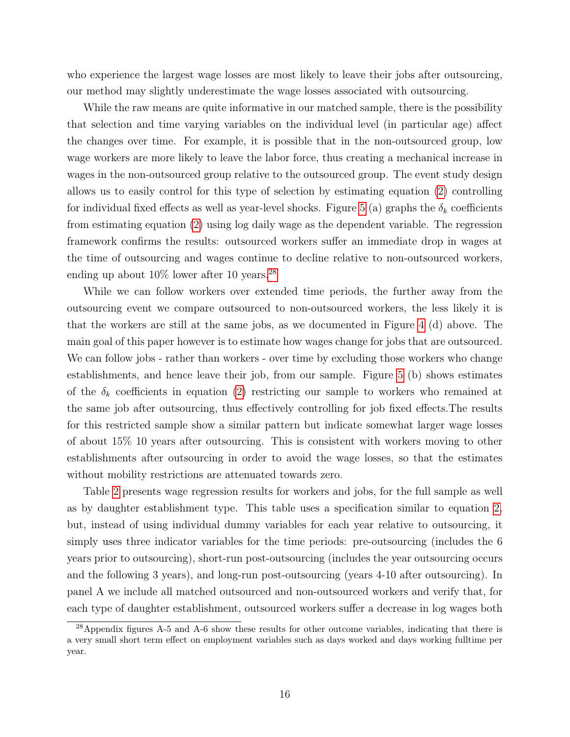who experience the largest wage losses are most likely to leave their jobs after outsourcing, our method may slightly underestimate the wage losses associated with outsourcing.

While the raw means are quite informative in our matched sample, there is the possibility that selection and time varying variables on the individual level (in particular age) affect the changes over time. For example, it is possible that in the non-outsourced group, low wage workers are more likely to leave the labor force, thus creating a mechanical increase in wages in the non-outsourced group relative to the outsourced group. The event study design allows us to easily control for this type of selection by estimating equation [\(2\)](#page-16-3) controlling for individual fixed effects as well as year-level shocks. Figure [5](#page-47-0) (a) graphs the  $\delta_k$  coefficients from estimating equation [\(2\)](#page-16-3) using log daily wage as the dependent variable. The regression framework confirms the results: outsourced workers suffer an immediate drop in wages at the time of outsourcing and wages continue to decline relative to non-outsourced workers, ending up about  $10\%$  lower after 10 years.<sup>[28](#page-18-0)</sup>

While we can follow workers over extended time periods, the further away from the outsourcing event we compare outsourced to non-outsourced workers, the less likely it is that the workers are still at the same jobs, as we documented in Figure [4](#page-46-0) (d) above. The main goal of this paper however is to estimate how wages change for jobs that are outsourced. We can follow jobs - rather than workers - over time by excluding those workers who change establishments, and hence leave their job, from our sample. Figure [5](#page-47-0) (b) shows estimates of the  $\delta_k$  coefficients in equation [\(2\)](#page-16-3) restricting our sample to workers who remained at the same job after outsourcing, thus effectively controlling for job fixed effects.The results for this restricted sample show a similar pattern but indicate somewhat larger wage losses of about 15% 10 years after outsourcing. This is consistent with workers moving to other establishments after outsourcing in order to avoid the wage losses, so that the estimates without mobility restrictions are attenuated towards zero.

Table [2](#page-39-0) presents wage regression results for workers and jobs, for the full sample as well as by daughter establishment type. This table uses a specification similar to equation [2,](#page-16-3) but, instead of using individual dummy variables for each year relative to outsourcing, it simply uses three indicator variables for the time periods: pre-outsourcing (includes the 6 years prior to outsourcing), short-run post-outsourcing (includes the year outsourcing occurs and the following 3 years), and long-run post-outsourcing (years 4-10 after outsourcing). In panel A we include all matched outsourced and non-outsourced workers and verify that, for each type of daughter establishment, outsourced workers suffer a decrease in log wages both

<span id="page-18-0"></span><sup>&</sup>lt;sup>28</sup>Appendix figures A-5 and A-6 show these results for other outcome variables, indicating that there is a very small short term effect on employment variables such as days worked and days working fulltime per year.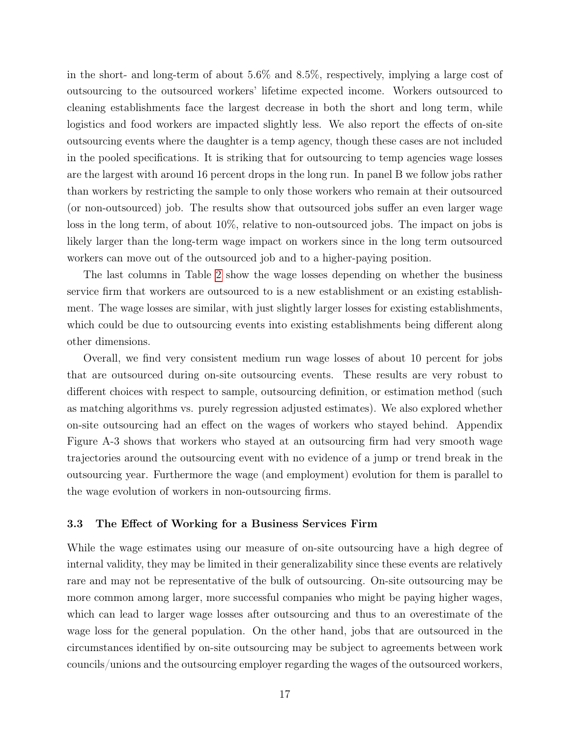in the short- and long-term of about 5.6% and 8.5%, respectively, implying a large cost of outsourcing to the outsourced workers' lifetime expected income. Workers outsourced to cleaning establishments face the largest decrease in both the short and long term, while logistics and food workers are impacted slightly less. We also report the effects of on-site outsourcing events where the daughter is a temp agency, though these cases are not included in the pooled specifications. It is striking that for outsourcing to temp agencies wage losses are the largest with around 16 percent drops in the long run. In panel B we follow jobs rather than workers by restricting the sample to only those workers who remain at their outsourced (or non-outsourced) job. The results show that outsourced jobs suffer an even larger wage loss in the long term, of about 10%, relative to non-outsourced jobs. The impact on jobs is likely larger than the long-term wage impact on workers since in the long term outsourced workers can move out of the outsourced job and to a higher-paying position.

The last columns in Table [2](#page-39-0) show the wage losses depending on whether the business service firm that workers are outsourced to is a new establishment or an existing establishment. The wage losses are similar, with just slightly larger losses for existing establishments, which could be due to outsourcing events into existing establishments being different along other dimensions.

Overall, we find very consistent medium run wage losses of about 10 percent for jobs that are outsourced during on-site outsourcing events. These results are very robust to different choices with respect to sample, outsourcing definition, or estimation method (such as matching algorithms vs. purely regression adjusted estimates). We also explored whether on-site outsourcing had an effect on the wages of workers who stayed behind. Appendix Figure A-3 shows that workers who stayed at an outsourcing firm had very smooth wage trajectories around the outsourcing event with no evidence of a jump or trend break in the outsourcing year. Furthermore the wage (and employment) evolution for them is parallel to the wage evolution of workers in non-outsourcing firms.

#### 3.3 The Effect of Working for a Business Services Firm

While the wage estimates using our measure of on-site outsourcing have a high degree of internal validity, they may be limited in their generalizability since these events are relatively rare and may not be representative of the bulk of outsourcing. On-site outsourcing may be more common among larger, more successful companies who might be paying higher wages, which can lead to larger wage losses after outsourcing and thus to an overestimate of the wage loss for the general population. On the other hand, jobs that are outsourced in the circumstances identified by on-site outsourcing may be subject to agreements between work councils/unions and the outsourcing employer regarding the wages of the outsourced workers,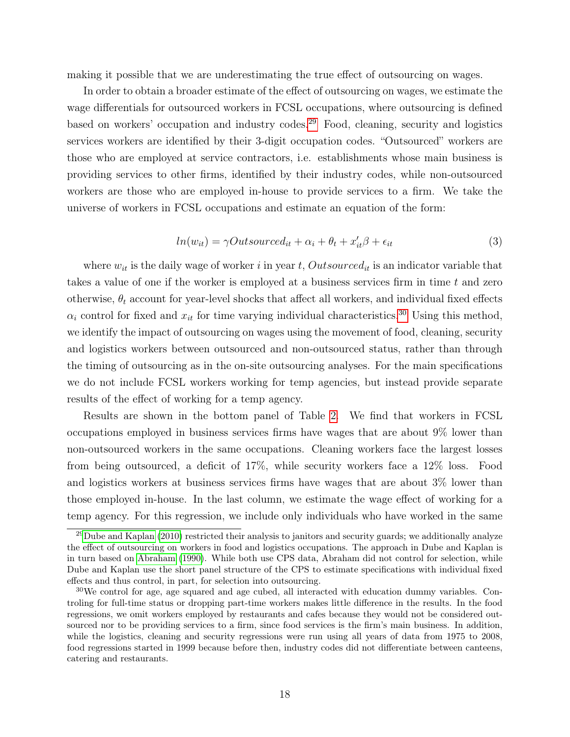making it possible that we are underestimating the true effect of outsourcing on wages.

In order to obtain a broader estimate of the effect of outsourcing on wages, we estimate the wage differentials for outsourced workers in FCSL occupations, where outsourcing is defined based on workers' occupation and industry codes.[29](#page-20-0) Food, cleaning, security and logistics services workers are identified by their 3-digit occupation codes. "Outsourced" workers are those who are employed at service contractors, i.e. establishments whose main business is providing services to other firms, identified by their industry codes, while non-outsourced workers are those who are employed in-house to provide services to a firm. We take the universe of workers in FCSL occupations and estimate an equation of the form:

$$
ln(w_{it}) = \gamma Outsource_{it} + \alpha_i + \theta_t + x'_{it}\beta + \epsilon_{it}
$$
\n(3)

where  $w_{it}$  is the daily wage of worker i in year t, Outsourced<sub>it</sub> is an indicator variable that takes a value of one if the worker is employed at a business services firm in time t and zero otherwise,  $\theta_t$  account for year-level shocks that affect all workers, and individual fixed effects  $\alpha_i$  control for fixed and  $x_{it}$  for time varying individual characteristics.<sup>[30](#page-20-1)</sup> Using this method, we identify the impact of outsourcing on wages using the movement of food, cleaning, security and logistics workers between outsourced and non-outsourced status, rather than through the timing of outsourcing as in the on-site outsourcing analyses. For the main specifications we do not include FCSL workers working for temp agencies, but instead provide separate results of the effect of working for a temp agency.

Results are shown in the bottom panel of Table [2.](#page-39-0) We find that workers in FCSL occupations employed in business services firms have wages that are about 9% lower than non-outsourced workers in the same occupations. Cleaning workers face the largest losses from being outsourced, a deficit of 17%, while security workers face a 12% loss. Food and logistics workers at business services firms have wages that are about 3% lower than those employed in-house. In the last column, we estimate the wage effect of working for a temp agency. For this regression, we include only individuals who have worked in the same

<span id="page-20-0"></span><sup>&</sup>lt;sup>29</sup>[Dube and Kaplan](#page-36-2) [\(2010\)](#page-36-2) restricted their analysis to janitors and security guards; we additionally analyze the effect of outsourcing on workers in food and logistics occupations. The approach in Dube and Kaplan is in turn based on [Abraham](#page-34-0) [\(1990\)](#page-34-0). While both use CPS data, Abraham did not control for selection, while Dube and Kaplan use the short panel structure of the CPS to estimate specifications with individual fixed effects and thus control, in part, for selection into outsourcing.

<span id="page-20-1"></span> $30\text{We control for age, age squared and age cubed, all interacted with education dummy variables. Con$ troling for full-time status or dropping part-time workers makes little difference in the results. In the food regressions, we omit workers employed by restaurants and cafes because they would not be considered outsourced nor to be providing services to a firm, since food services is the firm's main business. In addition, while the logistics, cleaning and security regressions were run using all years of data from 1975 to 2008, food regressions started in 1999 because before then, industry codes did not differentiate between canteens, catering and restaurants.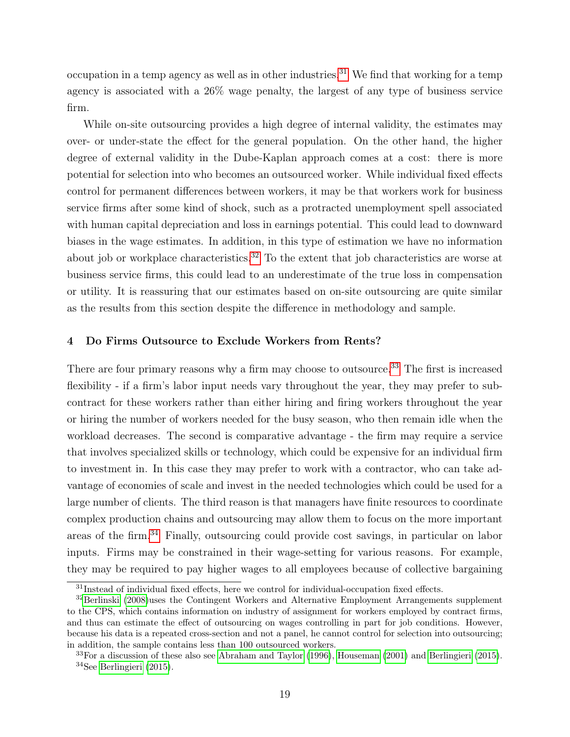occupation in a temp agency as well as in other industries.<sup>[31](#page-21-0)</sup> We find that working for a temp agency is associated with a 26% wage penalty, the largest of any type of business service firm.

While on-site outsourcing provides a high degree of internal validity, the estimates may over- or under-state the effect for the general population. On the other hand, the higher degree of external validity in the Dube-Kaplan approach comes at a cost: there is more potential for selection into who becomes an outsourced worker. While individual fixed effects control for permanent differences between workers, it may be that workers work for business service firms after some kind of shock, such as a protracted unemployment spell associated with human capital depreciation and loss in earnings potential. This could lead to downward biases in the wage estimates. In addition, in this type of estimation we have no information about job or workplace characteristics.<sup>[32](#page-21-1)</sup> To the extent that job characteristics are worse at business service firms, this could lead to an underestimate of the true loss in compensation or utility. It is reassuring that our estimates based on on-site outsourcing are quite similar as the results from this section despite the difference in methodology and sample.

#### 4 Do Firms Outsource to Exclude Workers from Rents?

There are four primary reasons why a firm may choose to outsource.<sup>[33](#page-21-2)</sup> The first is increased flexibility - if a firm's labor input needs vary throughout the year, they may prefer to subcontract for these workers rather than either hiring and firing workers throughout the year or hiring the number of workers needed for the busy season, who then remain idle when the workload decreases. The second is comparative advantage - the firm may require a service that involves specialized skills or technology, which could be expensive for an individual firm to investment in. In this case they may prefer to work with a contractor, who can take advantage of economies of scale and invest in the needed technologies which could be used for a large number of clients. The third reason is that managers have finite resources to coordinate complex production chains and outsourcing may allow them to focus on the more important areas of the firm.[34](#page-21-3) Finally, outsourcing could provide cost savings, in particular on labor inputs. Firms may be constrained in their wage-setting for various reasons. For example, they may be required to pay higher wages to all employees because of collective bargaining

<span id="page-21-1"></span><span id="page-21-0"></span> $31$ Instead of individual fixed effects, here we control for individual-occupation fixed effects.

 $32$ [Berlinski](#page-35-10) [\(2008\)](#page-35-10)uses the Contingent Workers and Alternative Employment Arrangements supplement to the CPS, which contains information on industry of assignment for workers employed by contract firms, and thus can estimate the effect of outsourcing on wages controlling in part for job conditions. However, because his data is a repeated cross-section and not a panel, he cannot control for selection into outsourcing; in addition, the sample contains less than 100 outsourced workers.

<span id="page-21-3"></span><span id="page-21-2"></span><sup>33</sup>For a discussion of these also see [Abraham and Taylor](#page-34-2) [\(1996\)](#page-34-2), [Houseman](#page-36-10) [\(2001\)](#page-36-10) and [Berlingieri](#page-35-11) [\(2015\)](#page-35-11). <sup>34</sup>See [Berlingieri](#page-35-11) [\(2015\)](#page-35-11).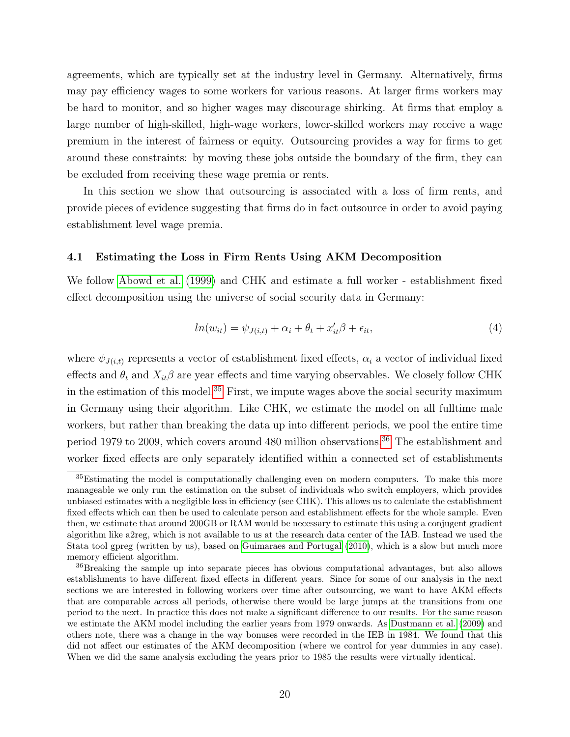agreements, which are typically set at the industry level in Germany. Alternatively, firms may pay efficiency wages to some workers for various reasons. At larger firms workers may be hard to monitor, and so higher wages may discourage shirking. At firms that employ a large number of high-skilled, high-wage workers, lower-skilled workers may receive a wage premium in the interest of fairness or equity. Outsourcing provides a way for firms to get around these constraints: by moving these jobs outside the boundary of the firm, they can be excluded from receiving these wage premia or rents.

In this section we show that outsourcing is associated with a loss of firm rents, and provide pieces of evidence suggesting that firms do in fact outsource in order to avoid paying establishment level wage premia.

#### 4.1 Estimating the Loss in Firm Rents Using AKM Decomposition

We follow [Abowd et al.](#page-34-1) [\(1999\)](#page-34-1) and CHK and estimate a full worker - establishment fixed effect decomposition using the universe of social security data in Germany:

$$
ln(w_{it}) = \psi_{J(i,t)} + \alpha_i + \theta_t + x_{it}'\beta + \epsilon_{it},
$$
\n
$$
\tag{4}
$$

where  $\psi_{J(i,t)}$  represents a vector of establishment fixed effects,  $\alpha_i$  a vector of individual fixed effects and  $\theta_t$  and  $X_{it}\beta$  are year effects and time varying observables. We closely follow CHK in the estimation of this model.<sup>[35](#page-22-0)</sup> First, we impute wages above the social security maximum in Germany using their algorithm. Like CHK, we estimate the model on all fulltime male workers, but rather than breaking the data up into different periods, we pool the entire time period 1979 to 2009, which covers around 480 million observations.[36](#page-22-1) The establishment and worker fixed effects are only separately identified within a connected set of establishments

<span id="page-22-0"></span><sup>&</sup>lt;sup>35</sup>Estimating the model is computationally challenging even on modern computers. To make this more manageable we only run the estimation on the subset of individuals who switch employers, which provides unbiased estimates with a negligible loss in efficiency (see CHK). This allows us to calculate the establishment fixed effects which can then be used to calculate person and establishment effects for the whole sample. Even then, we estimate that around 200GB or RAM would be necessary to estimate this using a conjugent gradient algorithm like a2reg, which is not available to us at the research data center of the IAB. Instead we used the Stata tool gpreg (written by us), based on [Guimaraes and Portugal](#page-36-11) [\(2010\)](#page-36-11), which is a slow but much more memory efficient algorithm.

<span id="page-22-1"></span><sup>&</sup>lt;sup>36</sup>Breaking the sample up into separate pieces has obvious computational advantages, but also allows establishments to have different fixed effects in different years. Since for some of our analysis in the next sections we are interested in following workers over time after outsourcing, we want to have AKM effects that are comparable across all periods, otherwise there would be large jumps at the transitions from one period to the next. In practice this does not make a significant difference to our results. For the same reason we estimate the AKM model including the earlier years from 1979 onwards. As [Dustmann et al.](#page-36-5) [\(2009\)](#page-36-5) and others note, there was a change in the way bonuses were recorded in the IEB in 1984. We found that this did not affect our estimates of the AKM decomposition (where we control for year dummies in any case). When we did the same analysis excluding the years prior to 1985 the results were virtually identical.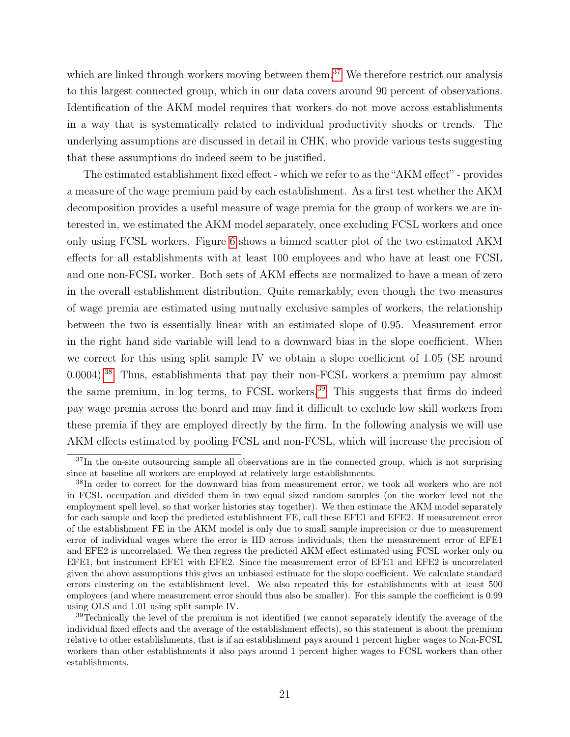which are linked through workers moving between them.<sup>[37](#page-23-0)</sup> We therefore restrict our analysis to this largest connected group, which in our data covers around 90 percent of observations. Identification of the AKM model requires that workers do not move across establishments in a way that is systematically related to individual productivity shocks or trends. The underlying assumptions are discussed in detail in CHK, who provide various tests suggesting that these assumptions do indeed seem to be justified.

The estimated establishment fixed effect - which we refer to as the "AKM effect" - provides a measure of the wage premium paid by each establishment. As a first test whether the AKM decomposition provides a useful measure of wage premia for the group of workers we are interested in, we estimated the AKM model separately, once excluding FCSL workers and once only using FCSL workers. Figure [6](#page-48-0) shows a binned scatter plot of the two estimated AKM effects for all establishments with at least 100 employees and who have at least one FCSL and one non-FCSL worker. Both sets of AKM effects are normalized to have a mean of zero in the overall establishment distribution. Quite remarkably, even though the two measures of wage premia are estimated using mutually exclusive samples of workers, the relationship between the two is essentially linear with an estimated slope of 0.95. Measurement error in the right hand side variable will lead to a downward bias in the slope coefficient. When we correct for this using split sample IV we obtain a slope coefficient of 1.05 (SE around 0.0004).[38](#page-23-1) Thus, establishments that pay their non-FCSL workers a premium pay almost the same premium, in log terms, to FCSL workers.<sup>[39](#page-23-2)</sup> This suggests that firms do indeed pay wage premia across the board and may find it difficult to exclude low skill workers from these premia if they are employed directly by the firm. In the following analysis we will use AKM effects estimated by pooling FCSL and non-FCSL, which will increase the precision of

<span id="page-23-0"></span> $37$ In the on-site outsourcing sample all observations are in the connected group, which is not surprising since at baseline all workers are employed at relatively large establishments.

<span id="page-23-1"></span><sup>&</sup>lt;sup>38</sup>In order to correct for the downward bias from measurement error, we took all workers who are not in FCSL occupation and divided them in two equal sized random samples (on the worker level not the employment spell level, so that worker histories stay together). We then estimate the AKM model separately for each sample and keep the predicted establishment FE, call these EFE1 and EFE2. If measurement error of the establishment FE in the AKM model is only due to small sample imprecision or due to measurement error of individual wages where the error is IID across individuals, then the measurement error of EFE1 and EFE2 is uncorrelated. We then regress the predicted AKM effect estimated using FCSL worker only on EFE1, but instrument EFE1 with EFE2. Since the measurement error of EFE1 and EFE2 is uncorrelated given the above assumptions this gives an unbiased estimate for the slope coefficient. We calculate standard errors clustering on the establishment level. We also repeated this for establishments with at least 500 employees (and where measurement error should thus also be smaller). For this sample the coefficient is 0.99 using OLS and 1.01 using split sample IV.

<span id="page-23-2"></span><sup>&</sup>lt;sup>39</sup>Technically the level of the premium is not identified (we cannot separately identify the average of the individual fixed effects and the average of the establishment effects), so this statement is about the premium relative to other establishments, that is if an establishment pays around 1 percent higher wages to Non-FCSL workers than other establishments it also pays around 1 percent higher wages to FCSL workers than other establishments.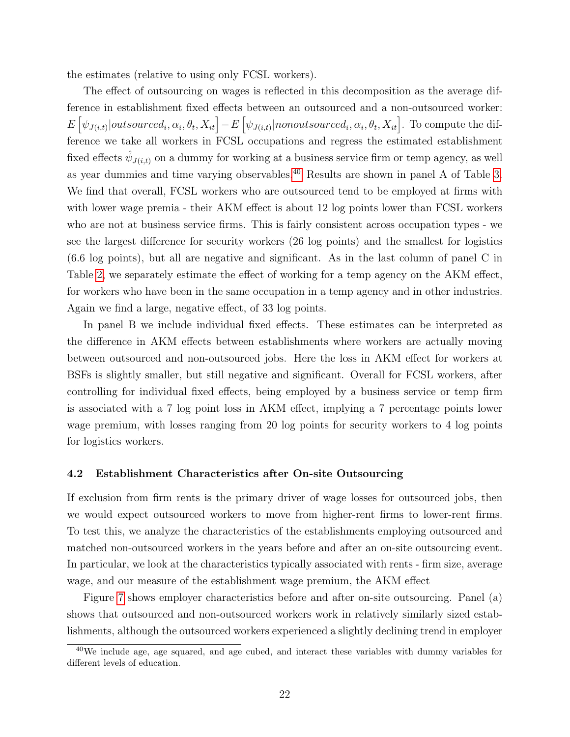the estimates (relative to using only FCSL workers).

The effect of outsourcing on wages is reflected in this decomposition as the average difference in establishment fixed effects between an outsourced and a non-outsourced worker:  $E[\psi_{J(i,t)}|outsourced_i,\alpha_i,\theta_t,X_{it}] - E[\psi_{J(i,t)}|nonoutsourced_i,\alpha_i,\theta_t,X_{it}]$ . To compute the difference we take all workers in FCSL occupations and regress the estimated establishment fixed effects  $\hat{\psi}_{J(i,t)}$  on a dummy for working at a business service firm or temp agency, as well as year dummies and time varying observables.[40](#page-24-0) Results are shown in panel A of Table [3.](#page-40-0) We find that overall, FCSL workers who are outsourced tend to be employed at firms with with lower wage premia - their AKM effect is about 12 log points lower than FCSL workers who are not at business service firms. This is fairly consistent across occupation types - we see the largest difference for security workers (26 log points) and the smallest for logistics (6.6 log points), but all are negative and significant. As in the last column of panel C in Table [2,](#page-39-0) we separately estimate the effect of working for a temp agency on the AKM effect, for workers who have been in the same occupation in a temp agency and in other industries. Again we find a large, negative effect, of 33 log points.

In panel B we include individual fixed effects. These estimates can be interpreted as the difference in AKM effects between establishments where workers are actually moving between outsourced and non-outsourced jobs. Here the loss in AKM effect for workers at BSFs is slightly smaller, but still negative and significant. Overall for FCSL workers, after controlling for individual fixed effects, being employed by a business service or temp firm is associated with a 7 log point loss in AKM effect, implying a 7 percentage points lower wage premium, with losses ranging from 20 log points for security workers to 4 log points for logistics workers.

#### 4.2 Establishment Characteristics after On-site Outsourcing

If exclusion from firm rents is the primary driver of wage losses for outsourced jobs, then we would expect outsourced workers to move from higher-rent firms to lower-rent firms. To test this, we analyze the characteristics of the establishments employing outsourced and matched non-outsourced workers in the years before and after an on-site outsourcing event. In particular, we look at the characteristics typically associated with rents - firm size, average wage, and our measure of the establishment wage premium, the AKM effect

Figure [7](#page-49-0) shows employer characteristics before and after on-site outsourcing. Panel (a) shows that outsourced and non-outsourced workers work in relatively similarly sized establishments, although the outsourced workers experienced a slightly declining trend in employer

<span id="page-24-0"></span> $40$ We include age, age squared, and age cubed, and interact these variables with dummy variables for different levels of education.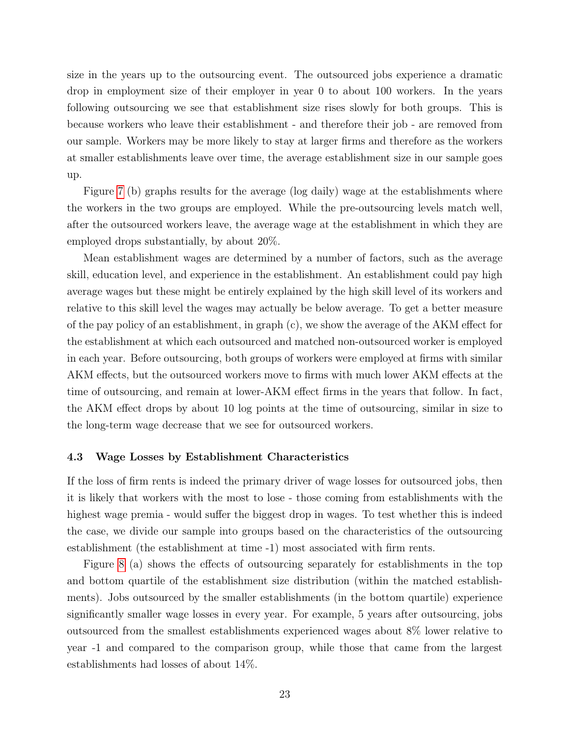size in the years up to the outsourcing event. The outsourced jobs experience a dramatic drop in employment size of their employer in year 0 to about 100 workers. In the years following outsourcing we see that establishment size rises slowly for both groups. This is because workers who leave their establishment - and therefore their job - are removed from our sample. Workers may be more likely to stay at larger firms and therefore as the workers at smaller establishments leave over time, the average establishment size in our sample goes up.

Figure [7](#page-49-0) (b) graphs results for the average (log daily) wage at the establishments where the workers in the two groups are employed. While the pre-outsourcing levels match well, after the outsourced workers leave, the average wage at the establishment in which they are employed drops substantially, by about 20%.

Mean establishment wages are determined by a number of factors, such as the average skill, education level, and experience in the establishment. An establishment could pay high average wages but these might be entirely explained by the high skill level of its workers and relative to this skill level the wages may actually be below average. To get a better measure of the pay policy of an establishment, in graph (c), we show the average of the AKM effect for the establishment at which each outsourced and matched non-outsourced worker is employed in each year. Before outsourcing, both groups of workers were employed at firms with similar AKM effects, but the outsourced workers move to firms with much lower AKM effects at the time of outsourcing, and remain at lower-AKM effect firms in the years that follow. In fact, the AKM effect drops by about 10 log points at the time of outsourcing, similar in size to the long-term wage decrease that we see for outsourced workers.

#### 4.3 Wage Losses by Establishment Characteristics

If the loss of firm rents is indeed the primary driver of wage losses for outsourced jobs, then it is likely that workers with the most to lose - those coming from establishments with the highest wage premia - would suffer the biggest drop in wages. To test whether this is indeed the case, we divide our sample into groups based on the characteristics of the outsourcing establishment (the establishment at time -1) most associated with firm rents.

Figure [8](#page-50-0) (a) shows the effects of outsourcing separately for establishments in the top and bottom quartile of the establishment size distribution (within the matched establishments). Jobs outsourced by the smaller establishments (in the bottom quartile) experience significantly smaller wage losses in every year. For example, 5 years after outsourcing, jobs outsourced from the smallest establishments experienced wages about 8% lower relative to year -1 and compared to the comparison group, while those that came from the largest establishments had losses of about 14%.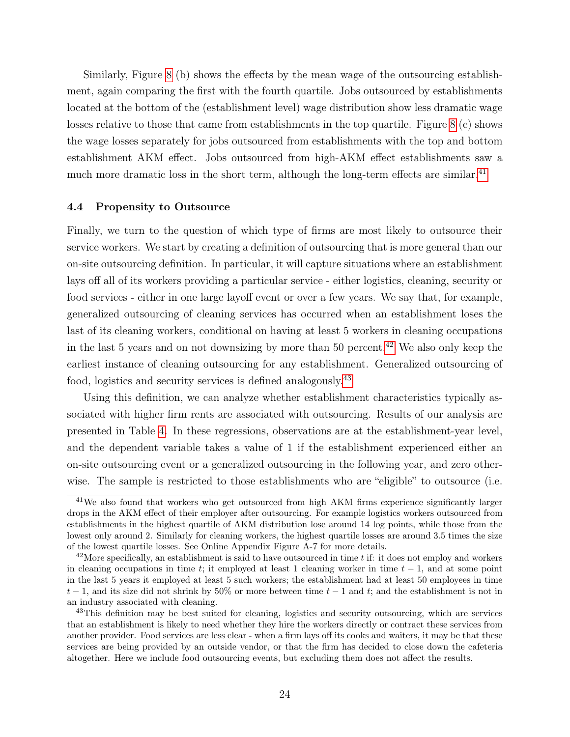Similarly, Figure [8](#page-50-0) (b) shows the effects by the mean wage of the outsourcing establishment, again comparing the first with the fourth quartile. Jobs outsourced by establishments located at the bottom of the (establishment level) wage distribution show less dramatic wage losses relative to those that came from establishments in the top quartile. Figure [8](#page-50-0) (c) shows the wage losses separately for jobs outsourced from establishments with the top and bottom establishment AKM effect. Jobs outsourced from high-AKM effect establishments saw a much more dramatic loss in the short term, although the long-term effects are similar.<sup>[41](#page-26-0)</sup>

#### 4.4 Propensity to Outsource

Finally, we turn to the question of which type of firms are most likely to outsource their service workers. We start by creating a definition of outsourcing that is more general than our on-site outsourcing definition. In particular, it will capture situations where an establishment lays off all of its workers providing a particular service - either logistics, cleaning, security or food services - either in one large layoff event or over a few years. We say that, for example, generalized outsourcing of cleaning services has occurred when an establishment loses the last of its cleaning workers, conditional on having at least 5 workers in cleaning occupations in the last 5 years and on not downsizing by more than 50 percent.<sup>[42](#page-26-1)</sup> We also only keep the earliest instance of cleaning outsourcing for any establishment. Generalized outsourcing of food, logistics and security services is defined analogously.[43](#page-26-2)

Using this definition, we can analyze whether establishment characteristics typically associated with higher firm rents are associated with outsourcing. Results of our analysis are presented in Table [4.](#page-41-0) In these regressions, observations are at the establishment-year level, and the dependent variable takes a value of 1 if the establishment experienced either an on-site outsourcing event or a generalized outsourcing in the following year, and zero otherwise. The sample is restricted to those establishments who are "eligible" to outsource (i.e.

<span id="page-26-0"></span><sup>&</sup>lt;sup>41</sup>We also found that workers who get outsourced from high AKM firms experience significantly larger drops in the AKM effect of their employer after outsourcing. For example logistics workers outsourced from establishments in the highest quartile of AKM distribution lose around 14 log points, while those from the lowest only around 2. Similarly for cleaning workers, the highest quartile losses are around 3.5 times the size of the lowest quartile losses. See Online Appendix Figure A-7 for more details.

<span id="page-26-1"></span> $^{42}$ More specifically, an establishment is said to have outsourced in time t if: it does not employ and workers in cleaning occupations in time t; it employed at least 1 cleaning worker in time  $t - 1$ , and at some point in the last 5 years it employed at least 5 such workers; the establishment had at least 50 employees in time  $t-1$ , and its size did not shrink by 50% or more between time  $t-1$  and t; and the establishment is not in an industry associated with cleaning.

<span id="page-26-2"></span><sup>&</sup>lt;sup>43</sup>This definition may be best suited for cleaning, logistics and security outsourcing, which are services that an establishment is likely to need whether they hire the workers directly or contract these services from another provider. Food services are less clear - when a firm lays off its cooks and waiters, it may be that these services are being provided by an outside vendor, or that the firm has decided to close down the cafeteria altogether. Here we include food outsourcing events, but excluding them does not affect the results.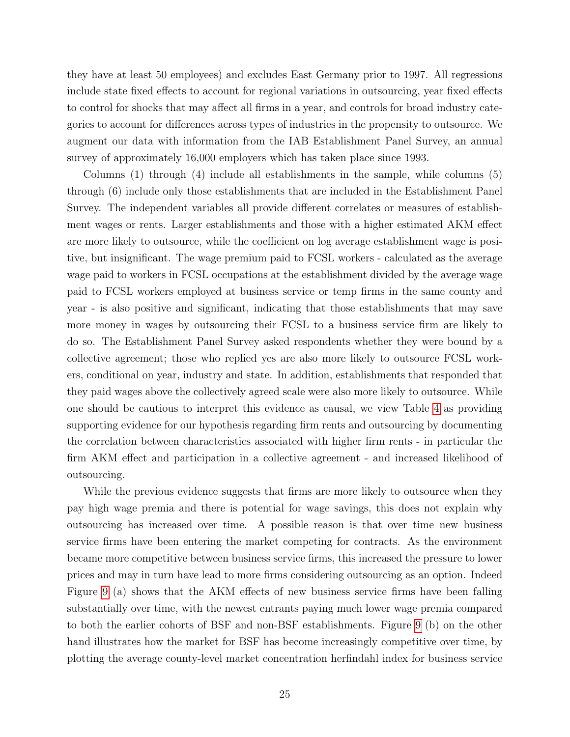they have at least 50 employees) and excludes East Germany prior to 1997. All regressions include state fixed effects to account for regional variations in outsourcing, year fixed effects to control for shocks that may affect all firms in a year, and controls for broad industry categories to account for differences across types of industries in the propensity to outsource. We augment our data with information from the IAB Establishment Panel Survey, an annual survey of approximately 16,000 employers which has taken place since 1993.

Columns (1) through (4) include all establishments in the sample, while columns (5) through (6) include only those establishments that are included in the Establishment Panel Survey. The independent variables all provide different correlates or measures of establishment wages or rents. Larger establishments and those with a higher estimated AKM effect are more likely to outsource, while the coefficient on log average establishment wage is positive, but insignificant. The wage premium paid to FCSL workers - calculated as the average wage paid to workers in FCSL occupations at the establishment divided by the average wage paid to FCSL workers employed at business service or temp firms in the same county and year - is also positive and significant, indicating that those establishments that may save more money in wages by outsourcing their FCSL to a business service firm are likely to do so. The Establishment Panel Survey asked respondents whether they were bound by a collective agreement; those who replied yes are also more likely to outsource FCSL workers, conditional on year, industry and state. In addition, establishments that responded that they paid wages above the collectively agreed scale were also more likely to outsource. While one should be cautious to interpret this evidence as causal, we view Table [4](#page-41-0) as providing supporting evidence for our hypothesis regarding firm rents and outsourcing by documenting the correlation between characteristics associated with higher firm rents - in particular the firm AKM effect and participation in a collective agreement - and increased likelihood of outsourcing.

While the previous evidence suggests that firms are more likely to outsource when they pay high wage premia and there is potential for wage savings, this does not explain why outsourcing has increased over time. A possible reason is that over time new business service firms have been entering the market competing for contracts. As the environment became more competitive between business service firms, this increased the pressure to lower prices and may in turn have lead to more firms considering outsourcing as an option. Indeed Figure [9](#page-51-0) (a) shows that the AKM effects of new business service firms have been falling substantially over time, with the newest entrants paying much lower wage premia compared to both the earlier cohorts of BSF and non-BSF establishments. Figure [9](#page-51-0) (b) on the other hand illustrates how the market for BSF has become increasingly competitive over time, by plotting the average county-level market concentration herfindahl index for business service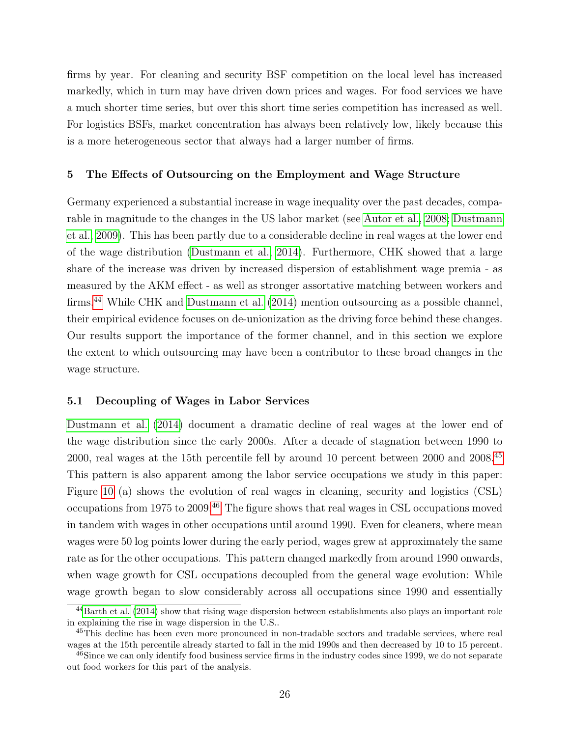firms by year. For cleaning and security BSF competition on the local level has increased markedly, which in turn may have driven down prices and wages. For food services we have a much shorter time series, but over this short time series competition has increased as well. For logistics BSFs, market concentration has always been relatively low, likely because this is a more heterogeneous sector that always had a larger number of firms.

#### 5 The Effects of Outsourcing on the Employment and Wage Structure

Germany experienced a substantial increase in wage inequality over the past decades, comparable in magnitude to the changes in the US labor market (see [Autor et al., 2008;](#page-35-12) [Dustmann](#page-36-5) [et al., 2009\)](#page-36-5). This has been partly due to a considerable decline in real wages at the lower end of the wage distribution [\(Dustmann et al., 2014\)](#page-36-1). Furthermore, CHK showed that a large share of the increase was driven by increased dispersion of establishment wage premia - as measured by the AKM effect - as well as stronger assortative matching between workers and firms.[44](#page-28-0) While CHK and [Dustmann et al.](#page-36-1) [\(2014\)](#page-36-1) mention outsourcing as a possible channel, their empirical evidence focuses on de-unionization as the driving force behind these changes. Our results support the importance of the former channel, and in this section we explore the extent to which outsourcing may have been a contributor to these broad changes in the wage structure.

#### 5.1 Decoupling of Wages in Labor Services

[Dustmann et al.](#page-36-1) [\(2014\)](#page-36-1) document a dramatic decline of real wages at the lower end of the wage distribution since the early 2000s. After a decade of stagnation between 1990 to 2000, real wages at the 15th percentile fell by around 10 percent between 2000 and 2008.[45](#page-28-1) This pattern is also apparent among the labor service occupations we study in this paper: Figure [10](#page-52-0) (a) shows the evolution of real wages in cleaning, security and logistics (CSL) occupations from 1975 to 2009.[46](#page-28-2) The figure shows that real wages in CSL occupations moved in tandem with wages in other occupations until around 1990. Even for cleaners, where mean wages were 50 log points lower during the early period, wages grew at approximately the same rate as for the other occupations. This pattern changed markedly from around 1990 onwards, when wage growth for CSL occupations decoupled from the general wage evolution: While wage growth began to slow considerably across all occupations since 1990 and essentially

<span id="page-28-0"></span><sup>44</sup>[Barth et al.](#page-35-13) [\(2014\)](#page-35-13) show that rising wage dispersion between establishments also plays an important role in explaining the rise in wage dispersion in the U.S..

<span id="page-28-1"></span><sup>45</sup>This decline has been even more pronounced in non-tradable sectors and tradable services, where real wages at the 15th percentile already started to fall in the mid 1990s and then decreased by 10 to 15 percent.

<span id="page-28-2"></span><sup>&</sup>lt;sup>46</sup>Since we can only identify food business service firms in the industry codes since 1999, we do not separate out food workers for this part of the analysis.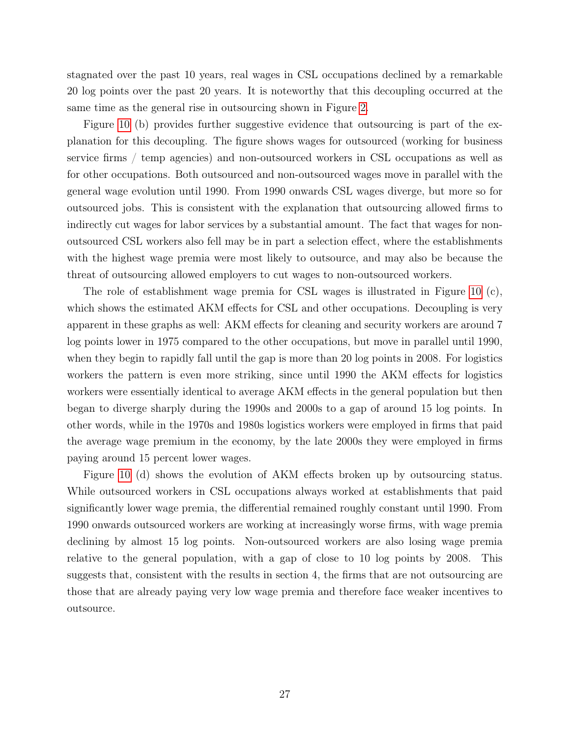stagnated over the past 10 years, real wages in CSL occupations declined by a remarkable 20 log points over the past 20 years. It is noteworthy that this decoupling occurred at the same time as the general rise in outsourcing shown in Figure [2.](#page-44-0)

Figure [10](#page-52-0) (b) provides further suggestive evidence that outsourcing is part of the explanation for this decoupling. The figure shows wages for outsourced (working for business service firms / temp agencies) and non-outsourced workers in CSL occupations as well as for other occupations. Both outsourced and non-outsourced wages move in parallel with the general wage evolution until 1990. From 1990 onwards CSL wages diverge, but more so for outsourced jobs. This is consistent with the explanation that outsourcing allowed firms to indirectly cut wages for labor services by a substantial amount. The fact that wages for nonoutsourced CSL workers also fell may be in part a selection effect, where the establishments with the highest wage premia were most likely to outsource, and may also be because the threat of outsourcing allowed employers to cut wages to non-outsourced workers.

The role of establishment wage premia for CSL wages is illustrated in Figure [10](#page-52-0) (c), which shows the estimated AKM effects for CSL and other occupations. Decoupling is very apparent in these graphs as well: AKM effects for cleaning and security workers are around 7 log points lower in 1975 compared to the other occupations, but move in parallel until 1990, when they begin to rapidly fall until the gap is more than 20 log points in 2008. For logistics workers the pattern is even more striking, since until 1990 the AKM effects for logistics workers were essentially identical to average AKM effects in the general population but then began to diverge sharply during the 1990s and 2000s to a gap of around 15 log points. In other words, while in the 1970s and 1980s logistics workers were employed in firms that paid the average wage premium in the economy, by the late 2000s they were employed in firms paying around 15 percent lower wages.

Figure [10](#page-52-0) (d) shows the evolution of AKM effects broken up by outsourcing status. While outsourced workers in CSL occupations always worked at establishments that paid significantly lower wage premia, the differential remained roughly constant until 1990. From 1990 onwards outsourced workers are working at increasingly worse firms, with wage premia declining by almost 15 log points. Non-outsourced workers are also losing wage premia relative to the general population, with a gap of close to 10 log points by 2008. This suggests that, consistent with the results in section 4, the firms that are not outsourcing are those that are already paying very low wage premia and therefore face weaker incentives to outsource.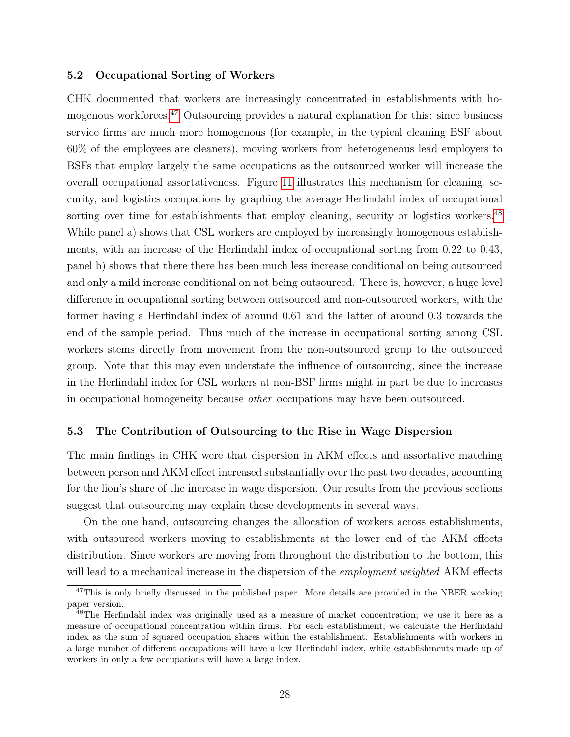#### 5.2 Occupational Sorting of Workers

CHK documented that workers are increasingly concentrated in establishments with homogenous workforces.[47](#page-30-0) Outsourcing provides a natural explanation for this: since business service firms are much more homogenous (for example, in the typical cleaning BSF about 60% of the employees are cleaners), moving workers from heterogeneous lead employers to BSFs that employ largely the same occupations as the outsourced worker will increase the overall occupational assortativeness. Figure [11](#page-53-0) illustrates this mechanism for cleaning, security, and logistics occupations by graphing the average Herfindahl index of occupational sorting over time for establishments that employ cleaning, security or logistics workers.<sup>[48](#page-30-1)</sup> While panel a) shows that CSL workers are employed by increasingly homogenous establishments, with an increase of the Herfindahl index of occupational sorting from 0.22 to 0.43, panel b) shows that there there has been much less increase conditional on being outsourced and only a mild increase conditional on not being outsourced. There is, however, a huge level difference in occupational sorting between outsourced and non-outsourced workers, with the former having a Herfindahl index of around 0.61 and the latter of around 0.3 towards the end of the sample period. Thus much of the increase in occupational sorting among CSL workers stems directly from movement from the non-outsourced group to the outsourced group. Note that this may even understate the influence of outsourcing, since the increase in the Herfindahl index for CSL workers at non-BSF firms might in part be due to increases in occupational homogeneity because other occupations may have been outsourced.

#### 5.3 The Contribution of Outsourcing to the Rise in Wage Dispersion

The main findings in CHK were that dispersion in AKM effects and assortative matching between person and AKM effect increased substantially over the past two decades, accounting for the lion's share of the increase in wage dispersion. Our results from the previous sections suggest that outsourcing may explain these developments in several ways.

On the one hand, outsourcing changes the allocation of workers across establishments, with outsourced workers moving to establishments at the lower end of the AKM effects distribution. Since workers are moving from throughout the distribution to the bottom, this will lead to a mechanical increase in the dispersion of the *employment weighted* AKM effects

<span id="page-30-0"></span><sup>&</sup>lt;sup>47</sup>This is only briefly discussed in the published paper. More details are provided in the NBER working paper version.

<span id="page-30-1"></span><sup>&</sup>lt;sup>48</sup>The Herfindahl index was originally used as a measure of market concentration; we use it here as a measure of occupational concentration within firms. For each establishment, we calculate the Herfindahl index as the sum of squared occupation shares within the establishment. Establishments with workers in a large number of different occupations will have a low Herfindahl index, while establishments made up of workers in only a few occupations will have a large index.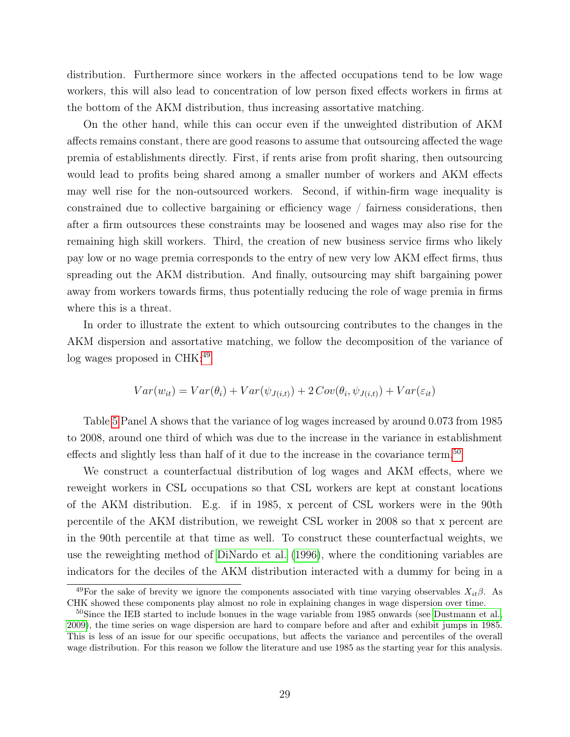distribution. Furthermore since workers in the affected occupations tend to be low wage workers, this will also lead to concentration of low person fixed effects workers in firms at the bottom of the AKM distribution, thus increasing assortative matching.

On the other hand, while this can occur even if the unweighted distribution of AKM affects remains constant, there are good reasons to assume that outsourcing affected the wage premia of establishments directly. First, if rents arise from profit sharing, then outsourcing would lead to profits being shared among a smaller number of workers and AKM effects may well rise for the non-outsourced workers. Second, if within-firm wage inequality is constrained due to collective bargaining or efficiency wage / fairness considerations, then after a firm outsources these constraints may be loosened and wages may also rise for the remaining high skill workers. Third, the creation of new business service firms who likely pay low or no wage premia corresponds to the entry of new very low AKM effect firms, thus spreading out the AKM distribution. And finally, outsourcing may shift bargaining power away from workers towards firms, thus potentially reducing the role of wage premia in firms where this is a threat.

In order to illustrate the extent to which outsourcing contributes to the changes in the AKM dispersion and assortative matching, we follow the decomposition of the variance of  $log$  wages proposed in CHK:<sup>[49](#page-31-0)</sup>

$$
Var(w_{it}) = Var(\theta_i) + Var(\psi_{J(i,t)}) + 2Cov(\theta_i, \psi_{J(i,t)}) + Var(\varepsilon_{it})
$$

Table [5](#page-42-0) Panel A shows that the variance of log wages increased by around 0.073 from 1985 to 2008, around one third of which was due to the increase in the variance in establishment effects and slightly less than half of it due to the increase in the covariance term.[50](#page-31-1)

We construct a counterfactual distribution of log wages and AKM effects, where we reweight workers in CSL occupations so that CSL workers are kept at constant locations of the AKM distribution. E.g. if in 1985, x percent of CSL workers were in the 90th percentile of the AKM distribution, we reweight CSL worker in 2008 so that x percent are in the 90th percentile at that time as well. To construct these counterfactual weights, we use the reweighting method of [DiNardo et al.](#page-35-14) [\(1996\)](#page-35-14), where the conditioning variables are indicators for the deciles of the AKM distribution interacted with a dummy for being in a

<span id="page-31-0"></span><sup>&</sup>lt;sup>49</sup>For the sake of brevity we ignore the components associated with time varying observables  $X_{it}\beta$ . As CHK showed these components play almost no role in explaining changes in wage dispersion over time.

<span id="page-31-1"></span> $50\text{Since the IEB started to include bounces in the wage variable from 1985 onwards (see Dustrmann et al.,$ [2009\)](#page-36-5), the time series on wage dispersion are hard to compare before and after and exhibit jumps in 1985. This is less of an issue for our specific occupations, but affects the variance and percentiles of the overall wage distribution. For this reason we follow the literature and use 1985 as the starting year for this analysis.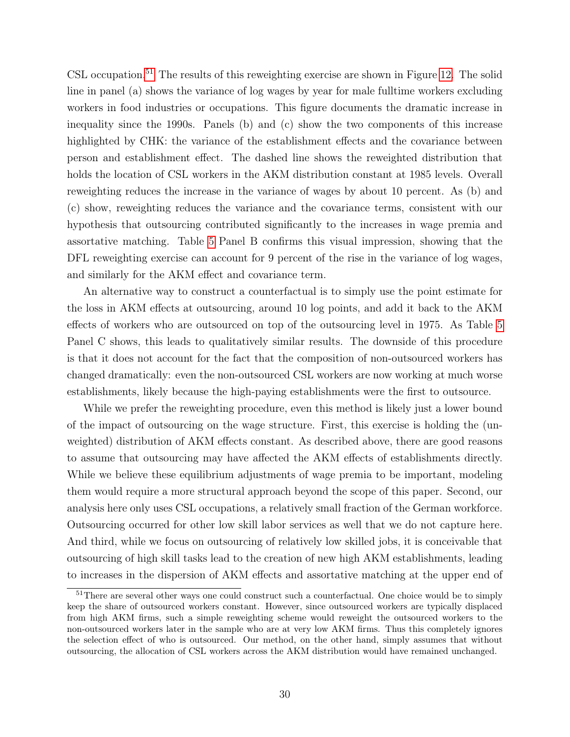CSL occupation.<sup>[51](#page-32-0)</sup> The results of this reweighting exercise are shown in Figure [12.](#page-54-0) The solid line in panel (a) shows the variance of log wages by year for male fulltime workers excluding workers in food industries or occupations. This figure documents the dramatic increase in inequality since the 1990s. Panels (b) and (c) show the two components of this increase highlighted by CHK: the variance of the establishment effects and the covariance between person and establishment effect. The dashed line shows the reweighted distribution that holds the location of CSL workers in the AKM distribution constant at 1985 levels. Overall reweighting reduces the increase in the variance of wages by about 10 percent. As (b) and (c) show, reweighting reduces the variance and the covariance terms, consistent with our hypothesis that outsourcing contributed significantly to the increases in wage premia and assortative matching. Table [5](#page-42-0) Panel B confirms this visual impression, showing that the DFL reweighting exercise can account for 9 percent of the rise in the variance of log wages, and similarly for the AKM effect and covariance term.

An alternative way to construct a counterfactual is to simply use the point estimate for the loss in AKM effects at outsourcing, around 10 log points, and add it back to the AKM effects of workers who are outsourced on top of the outsourcing level in 1975. As Table [5](#page-42-0) Panel C shows, this leads to qualitatively similar results. The downside of this procedure is that it does not account for the fact that the composition of non-outsourced workers has changed dramatically: even the non-outsourced CSL workers are now working at much worse establishments, likely because the high-paying establishments were the first to outsource.

While we prefer the reweighting procedure, even this method is likely just a lower bound of the impact of outsourcing on the wage structure. First, this exercise is holding the (unweighted) distribution of AKM effects constant. As described above, there are good reasons to assume that outsourcing may have affected the AKM effects of establishments directly. While we believe these equilibrium adjustments of wage premia to be important, modeling them would require a more structural approach beyond the scope of this paper. Second, our analysis here only uses CSL occupations, a relatively small fraction of the German workforce. Outsourcing occurred for other low skill labor services as well that we do not capture here. And third, while we focus on outsourcing of relatively low skilled jobs, it is conceivable that outsourcing of high skill tasks lead to the creation of new high AKM establishments, leading to increases in the dispersion of AKM effects and assortative matching at the upper end of

<span id="page-32-0"></span><sup>&</sup>lt;sup>51</sup>There are several other ways one could construct such a counterfactual. One choice would be to simply keep the share of outsourced workers constant. However, since outsourced workers are typically displaced from high AKM firms, such a simple reweighting scheme would reweight the outsourced workers to the non-outsourced workers later in the sample who are at very low AKM firms. Thus this completely ignores the selection effect of who is outsourced. Our method, on the other hand, simply assumes that without outsourcing, the allocation of CSL workers across the AKM distribution would have remained unchanged.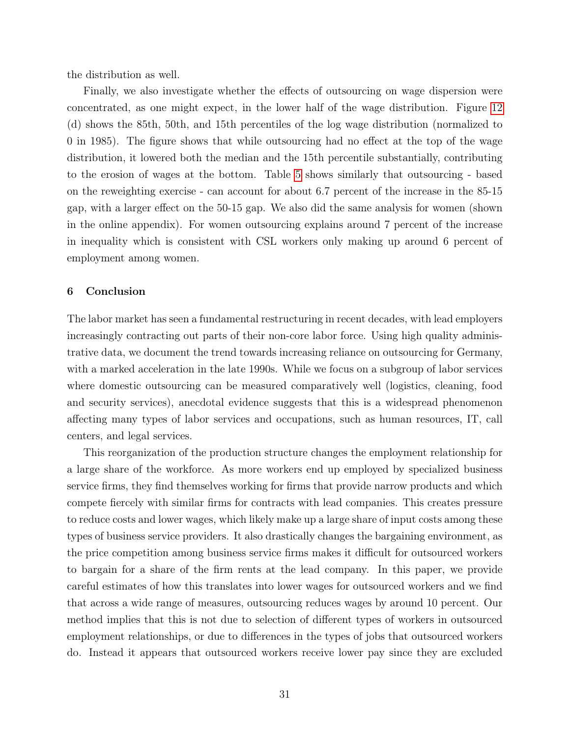the distribution as well.

Finally, we also investigate whether the effects of outsourcing on wage dispersion were concentrated, as one might expect, in the lower half of the wage distribution. Figure [12](#page-54-0) (d) shows the 85th, 50th, and 15th percentiles of the log wage distribution (normalized to 0 in 1985). The figure shows that while outsourcing had no effect at the top of the wage distribution, it lowered both the median and the 15th percentile substantially, contributing to the erosion of wages at the bottom. Table [5](#page-42-0) shows similarly that outsourcing - based on the reweighting exercise - can account for about 6.7 percent of the increase in the 85-15 gap, with a larger effect on the 50-15 gap. We also did the same analysis for women (shown in the online appendix). For women outsourcing explains around 7 percent of the increase in inequality which is consistent with CSL workers only making up around 6 percent of employment among women.

#### 6 Conclusion

The labor market has seen a fundamental restructuring in recent decades, with lead employers increasingly contracting out parts of their non-core labor force. Using high quality administrative data, we document the trend towards increasing reliance on outsourcing for Germany, with a marked acceleration in the late 1990s. While we focus on a subgroup of labor services where domestic outsourcing can be measured comparatively well (logistics, cleaning, food and security services), anecdotal evidence suggests that this is a widespread phenomenon affecting many types of labor services and occupations, such as human resources, IT, call centers, and legal services.

This reorganization of the production structure changes the employment relationship for a large share of the workforce. As more workers end up employed by specialized business service firms, they find themselves working for firms that provide narrow products and which compete fiercely with similar firms for contracts with lead companies. This creates pressure to reduce costs and lower wages, which likely make up a large share of input costs among these types of business service providers. It also drastically changes the bargaining environment, as the price competition among business service firms makes it difficult for outsourced workers to bargain for a share of the firm rents at the lead company. In this paper, we provide careful estimates of how this translates into lower wages for outsourced workers and we find that across a wide range of measures, outsourcing reduces wages by around 10 percent. Our method implies that this is not due to selection of different types of workers in outsourced employment relationships, or due to differences in the types of jobs that outsourced workers do. Instead it appears that outsourced workers receive lower pay since they are excluded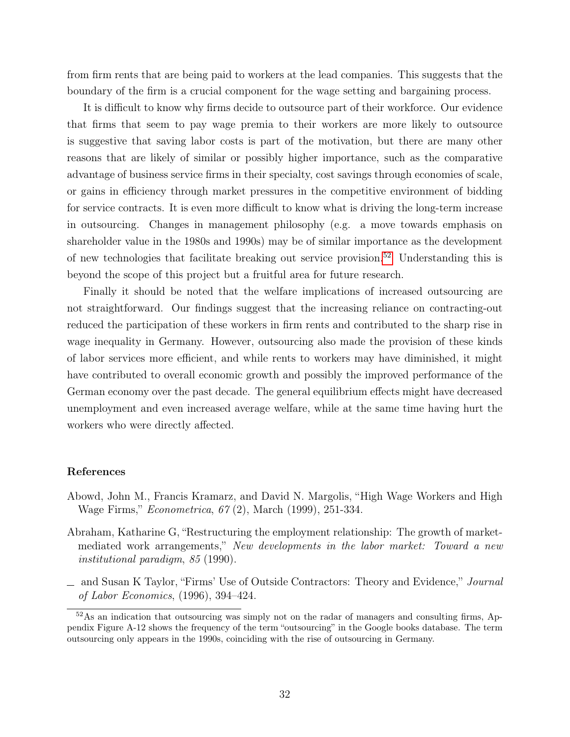from firm rents that are being paid to workers at the lead companies. This suggests that the boundary of the firm is a crucial component for the wage setting and bargaining process.

It is difficult to know why firms decide to outsource part of their workforce. Our evidence that firms that seem to pay wage premia to their workers are more likely to outsource is suggestive that saving labor costs is part of the motivation, but there are many other reasons that are likely of similar or possibly higher importance, such as the comparative advantage of business service firms in their specialty, cost savings through economies of scale, or gains in efficiency through market pressures in the competitive environment of bidding for service contracts. It is even more difficult to know what is driving the long-term increase in outsourcing. Changes in management philosophy (e.g. a move towards emphasis on shareholder value in the 1980s and 1990s) may be of similar importance as the development of new technologies that facilitate breaking out service provision.<sup>[52](#page-34-3)</sup> Understanding this is beyond the scope of this project but a fruitful area for future research.

Finally it should be noted that the welfare implications of increased outsourcing are not straightforward. Our findings suggest that the increasing reliance on contracting-out reduced the participation of these workers in firm rents and contributed to the sharp rise in wage inequality in Germany. However, outsourcing also made the provision of these kinds of labor services more efficient, and while rents to workers may have diminished, it might have contributed to overall economic growth and possibly the improved performance of the German economy over the past decade. The general equilibrium effects might have decreased unemployment and even increased average welfare, while at the same time having hurt the workers who were directly affected.

#### References

- <span id="page-34-1"></span>Abowd, John M., Francis Kramarz, and David N. Margolis, "High Wage Workers and High Wage Firms," Econometrica, 67 (2), March (1999), 251-334.
- <span id="page-34-0"></span>Abraham, Katharine G, "Restructuring the employment relationship: The growth of marketmediated work arrangements," New developments in the labor market: Toward a new institutional paradigm, 85 (1990).
- <span id="page-34-2"></span>and Susan K Taylor, "Firms' Use of Outside Contractors: Theory and Evidence," Journal of Labor Economics, (1996), 394–424.

<span id="page-34-3"></span><sup>&</sup>lt;sup>52</sup>As an indication that outsourcing was simply not on the radar of managers and consulting firms, Appendix Figure A-12 shows the frequency of the term "outsourcing" in the Google books database. The term outsourcing only appears in the 1990s, coinciding with the rise of outsourcing in Germany.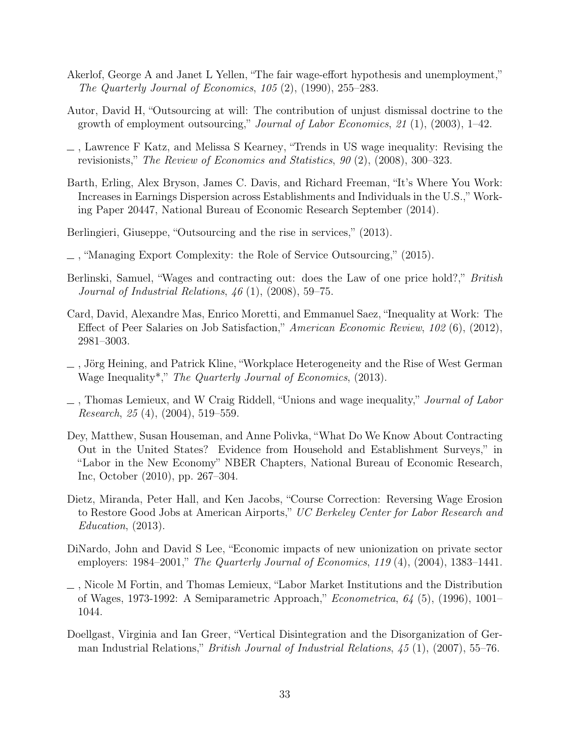- <span id="page-35-2"></span>Akerlof, George A and Janet L Yellen, "The fair wage-effort hypothesis and unemployment," The Quarterly Journal of Economics, 105 (2), (1990), 255–283.
- <span id="page-35-6"></span>Autor, David H, "Outsourcing at will: The contribution of unjust dismissal doctrine to the growth of employment outsourcing," Journal of Labor Economics, 21 $(1)$ ,  $(2003)$ , 1–42.
- <span id="page-35-12"></span>, Lawrence F Katz, and Melissa S Kearney, "Trends in US wage inequality: Revising the revisionists," The Review of Economics and Statistics, 90 (2), (2008), 300–323.
- <span id="page-35-13"></span>Barth, Erling, Alex Bryson, James C. Davis, and Richard Freeman, "It's Where You Work: Increases in Earnings Dispersion across Establishments and Individuals in the U.S.," Working Paper 20447, National Bureau of Economic Research September (2014).
- <span id="page-35-9"></span>Berlingieri, Giuseppe, "Outsourcing and the rise in services," (2013).
- <span id="page-35-11"></span>, "Managing Export Complexity: the Role of Service Outsourcing," (2015).
- <span id="page-35-10"></span>Berlinski, Samuel, "Wages and contracting out: does the Law of one price hold?," British *Journal of Industrial Relations,*  $46(1)$ ,  $(2008)$ , 59–75.
- <span id="page-35-3"></span>Card, David, Alexandre Mas, Enrico Moretti, and Emmanuel Saez, "Inequality at Work: The Effect of Peer Salaries on Job Satisfaction," American Economic Review, 102 (6), (2012), 2981–3003.
- <span id="page-35-4"></span>, Jörg Heining, and Patrick Kline, "Workplace Heterogeneity and the Rise of West German Wage Inequality<sup>\*</sup>," The Quarterly Journal of Economics, (2013).
- <span id="page-35-0"></span> $\Box$ , Thomas Lemieux, and W Craig Riddell, "Unions and wage inequality," Journal of Labor Research, 25 (4), (2004), 519–559.
- <span id="page-35-8"></span>Dey, Matthew, Susan Houseman, and Anne Polivka, "What Do We Know About Contracting Out in the United States? Evidence from Household and Establishment Surveys," in "Labor in the New Economy" NBER Chapters, National Bureau of Economic Research, Inc, October (2010), pp. 267–304.
- <span id="page-35-7"></span>Dietz, Miranda, Peter Hall, and Ken Jacobs, "Course Correction: Reversing Wage Erosion to Restore Good Jobs at American Airports," UC Berkeley Center for Labor Research and Education, (2013).
- <span id="page-35-1"></span>DiNardo, John and David S Lee, "Economic impacts of new unionization on private sector employers: 1984–2001," The Quarterly Journal of Economics, 119 (4), (2004), 1383–1441.
- <span id="page-35-14"></span>, Nicole M Fortin, and Thomas Lemieux, "Labor Market Institutions and the Distribution of Wages, 1973-1992: A Semiparametric Approach," Econometrica, 64 (5), (1996), 1001– 1044.
- <span id="page-35-5"></span>Doellgast, Virginia and Ian Greer, "Vertical Disintegration and the Disorganization of German Industrial Relations," British Journal of Industrial Relations, 45 (1), (2007), 55–76.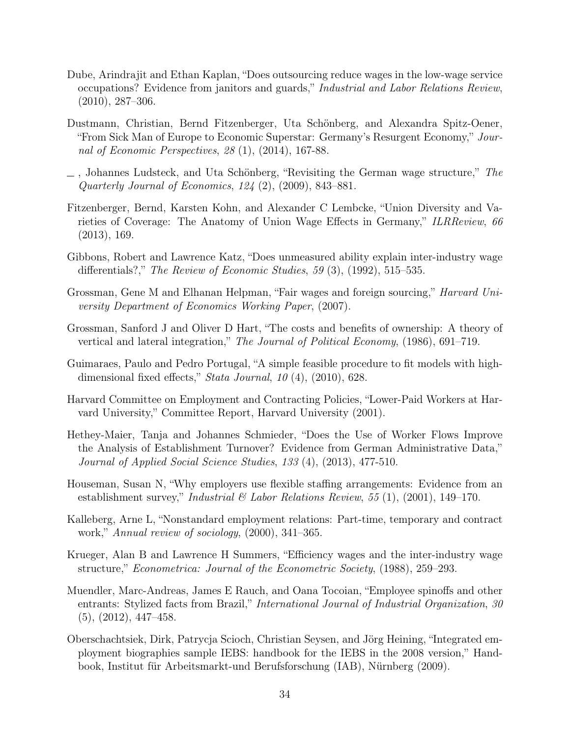- <span id="page-36-2"></span>Dube, Arindrajit and Ethan Kaplan, "Does outsourcing reduce wages in the low-wage service occupations? Evidence from janitors and guards," Industrial and Labor Relations Review, (2010), 287–306.
- <span id="page-36-1"></span>Dustmann, Christian, Bernd Fitzenberger, Uta Schönberg, and Alexandra Spitz-Oener, "From Sick Man of Europe to Economic Superstar: Germany's Resurgent Economy," Journal of Economic Perspectives, 28 (1), (2014), 167-88.
- <span id="page-36-5"></span> $\Box$ , Johannes Ludsteck, and Uta Schönberg, "Revisiting the German wage structure," The Quarterly Journal of Economics, 124 (2), (2009), 843–881.
- <span id="page-36-6"></span>Fitzenberger, Bernd, Karsten Kohn, and Alexander C Lembcke, "Union Diversity and Varieties of Coverage: The Anatomy of Union Wage Effects in Germany," ILRReview, 66 (2013), 169.
- <span id="page-36-4"></span>Gibbons, Robert and Lawrence Katz, "Does unmeasured ability explain inter-industry wage differentials?," The Review of Economic Studies, 59  $(3)$ ,  $(1992)$ , 515–535.
- Grossman, Gene M and Elhanan Helpman, "Fair wages and foreign sourcing," Harvard University Department of Economics Working Paper, (2007).
- Grossman, Sanford J and Oliver D Hart, "The costs and benefits of ownership: A theory of vertical and lateral integration," The Journal of Political Economy, (1986), 691–719.
- <span id="page-36-11"></span>Guimaraes, Paulo and Pedro Portugal, "A simple feasible procedure to fit models with highdimensional fixed effects," *Stata Journal*, 10 (4), (2010), 628.
- Harvard Committee on Employment and Contracting Policies, "Lower-Paid Workers at Harvard University," Committee Report, Harvard University (2001).
- <span id="page-36-8"></span>Hethey-Maier, Tanja and Johannes Schmieder, "Does the Use of Worker Flows Improve the Analysis of Establishment Turnover? Evidence from German Administrative Data," Journal of Applied Social Science Studies, 133 (4), (2013), 477-510.
- <span id="page-36-10"></span>Houseman, Susan N, "Why employers use flexible staffing arrangements: Evidence from an establishment survey," *Industrial* & Labor Relations Review, 55 (1), (2001), 149–170.
- <span id="page-36-0"></span>Kalleberg, Arne L, "Nonstandard employment relations: Part-time, temporary and contract work," Annual review of sociology, (2000), 341–365.
- <span id="page-36-3"></span>Krueger, Alan B and Lawrence H Summers, "Efficiency wages and the inter-industry wage structure," Econometrica: Journal of the Econometric Society, (1988), 259–293.
- <span id="page-36-9"></span>Muendler, Marc-Andreas, James E Rauch, and Oana Tocoian, "Employee spinoffs and other entrants: Stylized facts from Brazil," International Journal of Industrial Organization, 30 (5), (2012), 447–458.
- <span id="page-36-7"></span>Oberschachtsiek, Dirk, Patrycja Scioch, Christian Seysen, and Jörg Heining, "Integrated employment biographies sample IEBS: handbook for the IEBS in the 2008 version," Handbook, Institut für Arbeitsmarkt-und Berufsforschung (IAB), Nürnberg (2009).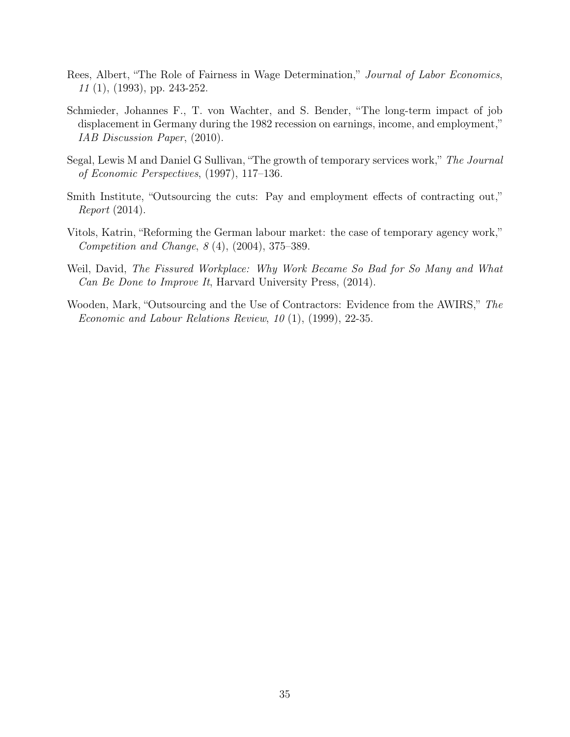- <span id="page-37-1"></span>Rees, Albert, "The Role of Fairness in Wage Determination," Journal of Labor Economics, 11 (1), (1993), pp. 243-252.
- Schmieder, Johannes F., T. von Wachter, and S. Bender, "The long-term impact of job displacement in Germany during the 1982 recession on earnings, income, and employment," IAB Discussion Paper, (2010).
- <span id="page-37-5"></span>Segal, Lewis M and Daniel G Sullivan, "The growth of temporary services work," The Journal of Economic Perspectives, (1997), 117–136.
- <span id="page-37-3"></span>Smith Institute, "Outsourcing the cuts: Pay and employment effects of contracting out," Report (2014).
- <span id="page-37-2"></span>Vitols, Katrin, "Reforming the German labour market: the case of temporary agency work," Competition and Change, 8 (4), (2004), 375–389.
- <span id="page-37-0"></span>Weil, David, The Fissured Workplace: Why Work Became So Bad for So Many and What Can Be Done to Improve It, Harvard University Press, (2014).
- <span id="page-37-4"></span>Wooden, Mark, "Outsourcing and the Use of Contractors: Evidence from the AWIRS," The Economic and Labour Relations Review, 10 (1), (1999), 22-35.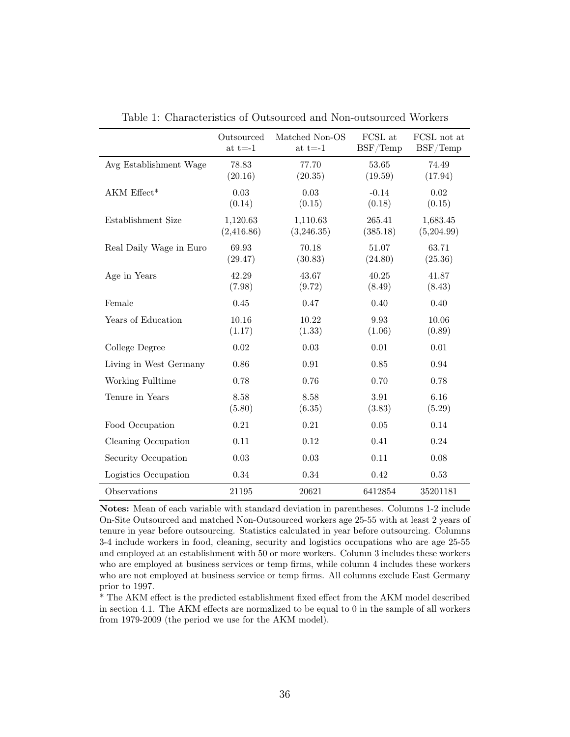|                         | Outsourced<br>at $t = -1$ | Matched Non-OS<br>at t=-1 $\,$ | FCSL at<br>BSF/Temp | FCSL not at<br>BSF/Temp |
|-------------------------|---------------------------|--------------------------------|---------------------|-------------------------|
| Avg Establishment Wage  | 78.83<br>(20.16)          | 77.70<br>(20.35)               | 53.65<br>(19.59)    | 74.49<br>(17.94)        |
| AKM Effect*             | 0.03<br>(0.14)            | 0.03<br>(0.15)                 | $-0.14$<br>(0.18)   | 0.02<br>(0.15)          |
| Establishment Size      | 1,120.63<br>(2,416.86)    | 1,110.63<br>(3,246.35)         | 265.41<br>(385.18)  | 1,683.45<br>(5,204.99)  |
| Real Daily Wage in Euro | 69.93<br>(29.47)          | 70.18<br>(30.83)               | 51.07<br>(24.80)    | 63.71<br>(25.36)        |
| Age in Years            | 42.29<br>(7.98)           | 43.67<br>(9.72)                | 40.25<br>(8.49)     | 41.87<br>(8.43)         |
| Female                  | 0.45                      | 0.47                           | 0.40                | 0.40                    |
| Years of Education      | 10.16<br>(1.17)           | 10.22<br>(1.33)                | 9.93<br>(1.06)      | 10.06<br>(0.89)         |
| College Degree          | 0.02                      | 0.03                           | 0.01                | 0.01                    |
| Living in West Germany  | 0.86                      | 0.91                           | $0.85\,$            | 0.94                    |
| Working Fulltime        | 0.78                      | 0.76                           | 0.70                | 0.78                    |
| Tenure in Years         | 8.58<br>(5.80)            | 8.58<br>(6.35)                 | 3.91<br>(3.83)      | 6.16<br>(5.29)          |
| Food Occupation         | 0.21                      | 0.21                           | 0.05                | 0.14                    |
| Cleaning Occupation     | 0.11                      | 0.12                           | 0.41                | 0.24                    |
| Security Occupation     | 0.03                      | $\,0.03\,$                     | 0.11                | 0.08                    |
| Logistics Occupation    | $0.34\,$                  | 0.34                           | 0.42                | $0.53\,$                |
| Observations            | 21195                     | 20621                          | 6412854             | 35201181                |

<span id="page-38-0"></span>Table 1: Characteristics of Outsourced and Non-outsourced Workers

Notes: Mean of each variable with standard deviation in parentheses. Columns 1-2 include On-Site Outsourced and matched Non-Outsourced workers age 25-55 with at least 2 years of tenure in year before outsourcing. Statistics calculated in year before outsourcing. Columns 3-4 include workers in food, cleaning, security and logistics occupations who are age 25-55 and employed at an establishment with 50 or more workers. Column 3 includes these workers who are employed at business services or temp firms, while column 4 includes these workers who are not employed at business service or temp firms. All columns exclude East Germany prior to 1997.

\* The AKM effect is the predicted establishment fixed effect from the AKM model described in section 4.1. The AKM effects are normalized to be equal to 0 in the sample of all workers from 1979-2009 (the period we use for the AKM model).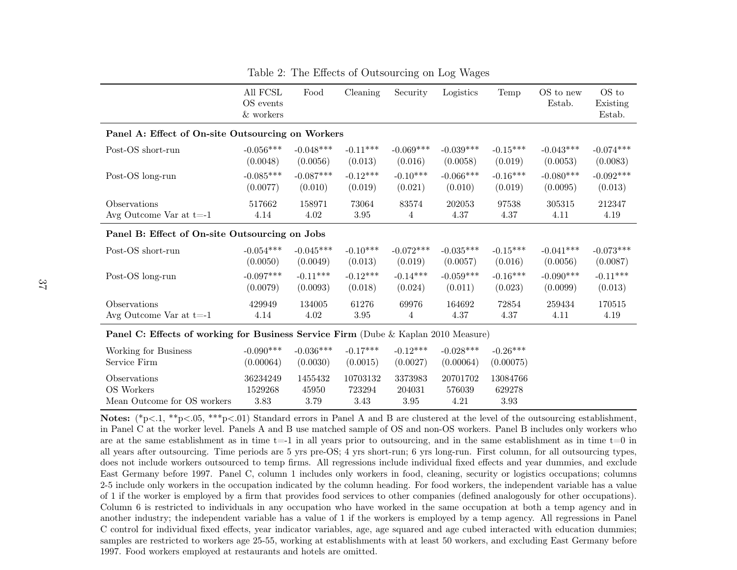|                                                                                    | $\mathop{\rm All}\, \mathop{\rm FCSL}\nolimits$<br>OS events<br>$\&$ workers | Food                     | Cleaning                   | Security                  | Logistics                  | Temp                           | OS to new<br>Estab. | OS to<br>Existing<br>Estab. |
|------------------------------------------------------------------------------------|------------------------------------------------------------------------------|--------------------------|----------------------------|---------------------------|----------------------------|--------------------------------|---------------------|-----------------------------|
| Panel A: Effect of On-site Outsourcing on Workers                                  |                                                                              |                          |                            |                           |                            |                                |                     |                             |
| Post-OS short-run                                                                  | $-0.056***$                                                                  | $-0.048***$              | $-0.11***$                 | $-0.069***$               | $-0.039***$                | $-0.15***$                     | $-0.043***$         | $-0.074***$                 |
|                                                                                    | (0.0048)                                                                     | (0.0056)                 | (0.013)                    | (0.016)                   | (0.0058)                   | (0.019)                        | (0.0053)            | (0.0083)                    |
| Post-OS long-run                                                                   | $-0.085***$                                                                  | $-0.087***$              | $-0.12***$                 | $-0.10***$                | $-0.066***$                | $-0.16***$                     | $-0.080***$         | $-0.092***$                 |
|                                                                                    | (0.0077)                                                                     | (0.010)                  | (0.019)                    | (0.021)                   | (0.010)                    | (0.019)                        | (0.0095)            | (0.013)                     |
| Observations                                                                       | 517662                                                                       | 158971                   | 73064                      | 83574                     | 202053                     | 97538                          | 305315              | 212347                      |
| Avg Outcome Var at $t=1$                                                           | 4.14                                                                         | 4.02                     | 3.95                       | 4                         | 4.37                       | 4.37                           | 4.11                | 4.19                        |
| Panel B: Effect of On-site Outsourcing on Jobs                                     |                                                                              |                          |                            |                           |                            |                                |                     |                             |
| Post-OS short-run                                                                  | $-0.054***$                                                                  | $-0.045***$              | $-0.10***$                 | $-0.072***$               | $-0.035***$                | $-0.15***$                     | $-0.041***$         | $-0.073***$                 |
|                                                                                    | (0.0050)                                                                     | (0.0049)                 | (0.013)                    | (0.019)                   | (0.0057)                   | (0.016)                        | (0.0056)            | (0.0087)                    |
| Post-OS long-run                                                                   | $-0.097***$                                                                  | $-0.11***$               | $-0.12***$                 | $-0.14***$                | $-0.059***$                | $-0.16***$                     | $-0.090***$         | $-0.11***$                  |
|                                                                                    | (0.0079)                                                                     | (0.0093)                 | (0.018)                    | (0.024)                   | (0.011)                    | (0.023)                        | (0.0099)            | (0.013)                     |
| Observations                                                                       | 429949                                                                       | 134005                   | 61276                      | 69976                     | 164692                     | 72854                          | 259434              | 170515                      |
| Avg Outcome Var at $t=1$                                                           | 4.14                                                                         | 4.02                     | 3.95                       | 4                         | 4.37                       | 4.37                           | 4.11                | $4.19\,$                    |
| Panel C: Effects of working for Business Service Firm (Dube & Kaplan 2010 Measure) |                                                                              |                          |                            |                           |                            |                                |                     |                             |
| Working for Business<br>Service Firm                                               | $-0.090***$<br>(0.00064)                                                     | $-0.036***$<br>(0.0030)  | $-0.17***$<br>(0.0015)     | $-0.12***$<br>(0.0027)    | $-0.028***$<br>(0.00064)   | $-0.26***$<br>(0.00075)        |                     |                             |
| Observations<br>OS Workers<br>Mean Outcome for OS workers                          | 36234249<br>1529268<br>3.83                                                  | 1455432<br>45950<br>3.79 | 10703132<br>723294<br>3.43 | 3373983<br>204031<br>3.95 | 20701702<br>576039<br>4.21 | 13084766<br>629278<br>$3.93\,$ |                     |                             |

<span id="page-39-0"></span>Table 2: The Effects of Outsourcing on Log Wages

Notes: (\*p<.1, \*\*p<.05, \*\*\*p<.01) Standard errors in Panel A and B are clustered at the level of the outsourcing establishment, in Panel C at the worker level. Panels A and B use matched sample of OS and non-OS workers. Panel B includes only workers who are at the same establishment as in time t=-1 in all years prior to outsourcing, and in the same establishment as in time t=0 in all years after outsourcing. Time periods are 5 yrs pre-OS; 4 yrs short-run; 6 yrs long-run. First column, for all outsourcing types, does not include workers outsourced to temp firms. All regressions include individual fixed effects and year dummies, and exclude East Germany before 1997. Panel C, column 1 includes only workers in food, cleaning, security or logistics occupations; columns 2-5 include only workers in the occupation indicated by the column heading. For food workers, the independent variable has <sup>a</sup> value of <sup>1</sup> if the worker is employed by <sup>a</sup> firm that provides food services to other companies (defined analogously for other occupations).Column 6 is restricted to individuals in any occupation who have worked in the same occupation at both <sup>a</sup> temp agency and in another industry; the independent variable has <sup>a</sup> value of 1 if the workers is employed by <sup>a</sup> temp agency. All regressions in PanelC control for individual fixed effects, year indicator variables, age, age squared and age cubed interacted with education dummies;samples are restricted to workers age 25-55, working at establishments with at least 50 workers, and excluding East Germany before1997. Food workers employed at restaurants and hotels are omitted.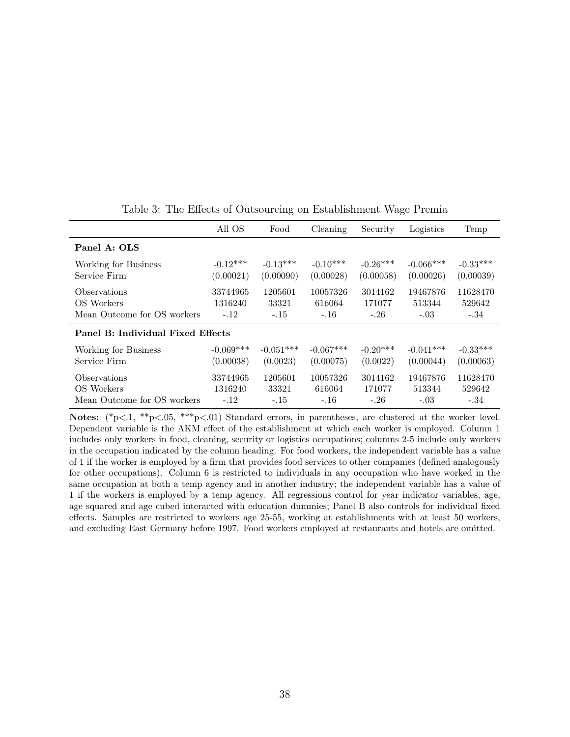|                                   | All OS      | Food        | Cleaning    | Security   | Logistics   | Temp       |  |
|-----------------------------------|-------------|-------------|-------------|------------|-------------|------------|--|
| Panel A: OLS                      |             |             |             |            |             |            |  |
| Working for Business              | $-0.12***$  | $-0.13***$  | $-0.10***$  | $-0.26***$ | $-0.066***$ | $-0.33***$ |  |
| Service Firm                      | (0.00021)   | (0.00090)   | (0.00028)   | (0.00058)  | (0.00026)   | (0.00039)  |  |
| <b>O</b> bservations              | 33744965    | 1205601     | 10057326    | 3014162    | 19467876    | 11628470   |  |
| OS Workers                        | 1316240     | 33321       | 616064      | 171077     | 513344      | 529642     |  |
| Mean Outcome for OS workers       | $-.12$      | $-.15$      | $-.16$      | $-.26$     | $-.03$      | $-.34$     |  |
| Panel B: Individual Fixed Effects |             |             |             |            |             |            |  |
| Working for Business              | $-0.069***$ | $-0.051***$ | $-0.067***$ | $-0.20***$ | $-0.041***$ | $-0.33***$ |  |
| Service Firm                      | (0.00038)   | (0.0023)    | (0.00075)   | (0.0022)   | (0.00044)   | (0.00063)  |  |
| <i><b>Observations</b></i>        | 33744965    | 1205601     | 10057326    | 3014162    | 19467876    | 11628470   |  |
| OS Workers                        | 1316240     | 33321       | 616064      | 171077     | 513344      | 529642     |  |
| Mean Outcome for OS workers       | $-.12$      | $-.15$      | $-.16$      | $-.26$     | $-.03$      | $-.34$     |  |

<span id="page-40-0"></span>Table 3: The Effects of Outsourcing on Establishment Wage Premia

Notes:  $(*p<.1, **p<.05, ***p<.01)$  Standard errors, in parentheses, are clustered at the worker level. Dependent variable is the AKM effect of the establishment at which each worker is employed. Column 1 includes only workers in food, cleaning, security or logistics occupations; columns 2-5 include only workers in the occupation indicated by the column heading. For food workers, the independent variable has a value of 1 if the worker is employed by a firm that provides food services to other companies (defined analogously for other occupations). Column 6 is restricted to individuals in any occupation who have worked in the same occupation at both a temp agency and in another industry; the independent variable has a value of 1 if the workers is employed by a temp agency. All regressions control for year indicator variables, age, age squared and age cubed interacted with education dummies; Panel B also controls for individual fixed effects. Samples are restricted to workers age 25-55, working at establishments with at least 50 workers, and excluding East Germany before 1997. Food workers employed at restaurants and hotels are omitted.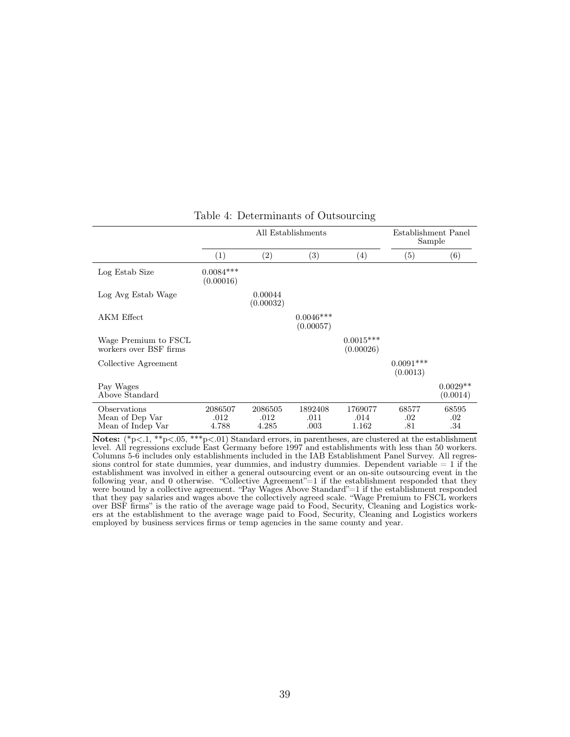|                                                      |                          | All Establishments       | Establishment Panel<br>Sample |                          |                         |                         |
|------------------------------------------------------|--------------------------|--------------------------|-------------------------------|--------------------------|-------------------------|-------------------------|
|                                                      | (1)                      | (2)                      | (3)                           | (4)                      | (5)                     | (6)                     |
| Log Estab Size                                       | $0.0084***$<br>(0.00016) |                          |                               |                          |                         |                         |
| Log Avg Estab Wage                                   |                          | 0.00044<br>(0.00032)     |                               |                          |                         |                         |
| AKM Effect                                           |                          |                          | $0.0046***$<br>(0.00057)      |                          |                         |                         |
| Wage Premium to FSCL<br>workers over BSF firms       |                          |                          |                               | $0.0015***$<br>(0.00026) |                         |                         |
| Collective Agreement                                 |                          |                          |                               |                          | $0.0091***$<br>(0.0013) |                         |
| Pay Wages<br>Above Standard                          |                          |                          |                               |                          |                         | $0.0029**$<br>(0.0014)  |
| Observations<br>Mean of Dep Var<br>Mean of Indep Var | 2086507<br>.012<br>4.788 | 2086505<br>.012<br>4.285 | 1892408<br>.011<br>.003       | 1769077<br>.014<br>1.162 | 68577<br>.02<br>.81     | 68595<br>$.02\,$<br>.34 |

#### <span id="page-41-0"></span>Table 4: Determinants of Outsourcing

**Notes:**  $(*p<1, **p<.05, **p<.01)$  Standard errors, in parentheses, are clustered at the establishment level. All regressions exclude East Germany before 1997 and establishments with less than 50 workers. Columns 5-6 includes only establishments included in the IAB Establishment Panel Survey. All regressions control for state dummies, year dummies, and industry dummies. Dependent variable  $= 1$  if the establishment was involved in either a general outsourcing event or an on-site outsourcing event in the following year, and 0 otherwise. "Collective Agreement" = 1 if the establishment responded that they were bound by a collective agreement. "Pay Wages Above Standard"=1 if the establishment responded that they pay salaries and wages above the collectively agreed scale. "Wage Premium to FSCL workers over BSF firms" is the ratio of the average wage paid to Food, Security, Cleaning and Logistics workers at the establishment to the average wage paid to Food, Security, Cleaning and Logistics workers employed by business services firms or temp agencies in the same county and year.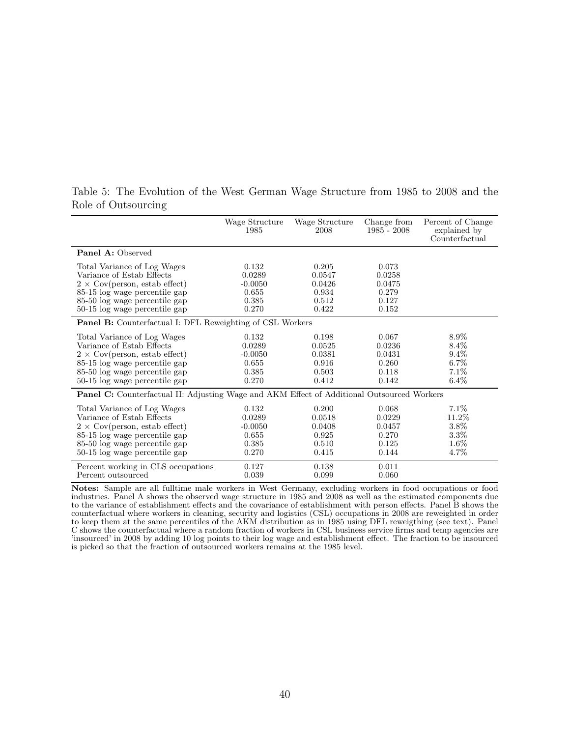|                                                                                                   | Wage Structure<br>1985 | Wage Structure<br>2008 | Change from<br>$1985 - 2008$ | Percent of Change<br>explained by<br>Counterfactual |  |  |  |
|---------------------------------------------------------------------------------------------------|------------------------|------------------------|------------------------------|-----------------------------------------------------|--|--|--|
| <b>Panel A: Observed</b>                                                                          |                        |                        |                              |                                                     |  |  |  |
| Total Variance of Log Wages                                                                       | 0.132                  | 0.205                  | 0.073                        |                                                     |  |  |  |
| Variance of Estab Effects                                                                         | 0.0289                 | 0.0547                 | 0.0258                       |                                                     |  |  |  |
| $2 \times \text{Cov}(person, estab effect)$                                                       | $-0.0050$              | 0.0426                 | 0.0475                       |                                                     |  |  |  |
| 85-15 log wage percentile gap                                                                     | 0.655                  | 0.934                  | 0.279                        |                                                     |  |  |  |
| 85-50 log wage percentile gap                                                                     | 0.385                  | 0.512                  | 0.127                        |                                                     |  |  |  |
| 50-15 log wage percentile gap                                                                     | 0.270                  | 0.422                  | 0.152                        |                                                     |  |  |  |
| <b>Panel B:</b> Counterfactual I: DFL Reweighting of CSL Workers                                  |                        |                        |                              |                                                     |  |  |  |
| Total Variance of Log Wages                                                                       | 0.132                  | 0.198                  | 0.067                        | $8.9\%$                                             |  |  |  |
| Variance of Estab Effects                                                                         | 0.0289                 | 0.0525                 | 0.0236                       | $8.4\%$                                             |  |  |  |
| $2 \times \text{Cov}(person, estab effect)$                                                       | $-0.0050$              | 0.0381                 | 0.0431                       | $9.4\%$                                             |  |  |  |
| 85-15 log wage percentile gap                                                                     | 0.655                  | 0.916                  | 0.260                        | $6.7\%$                                             |  |  |  |
| 85-50 log wage percentile gap                                                                     | 0.385                  | 0.503                  | 0.118                        | 7.1%                                                |  |  |  |
| 50-15 log wage percentile gap                                                                     | 0.270                  | 0.412                  | 0.142                        | $6.4\%$                                             |  |  |  |
| <b>Panel C:</b> Counterfactual II: Adjusting Wage and AKM Effect of Additional Outsourced Workers |                        |                        |                              |                                                     |  |  |  |
| Total Variance of Log Wages                                                                       | 0.132                  | 0.200                  | 0.068                        | $7.1\%$                                             |  |  |  |
| Variance of Estab Effects                                                                         | 0.0289                 | 0.0518                 | 0.0229                       | 11.2%                                               |  |  |  |
| $2 \times \text{Cov}(\text{person}, \text{estab effect})$                                         | $-0.0050$              | 0.0408                 | 0.0457                       | 3.8%                                                |  |  |  |
| 85-15 log wage percentile gap                                                                     | 0.655                  | 0.925                  | 0.270                        | $3.3\%$                                             |  |  |  |
| 85-50 log wage percentile gap                                                                     | 0.385                  | 0.510                  | 0.125                        | $1.6\%$                                             |  |  |  |
| 50-15 log wage percentile gap                                                                     | 0.270                  | 0.415                  | 0.144                        | 4.7%                                                |  |  |  |
| Percent working in CLS occupations                                                                | 0.127                  | 0.138                  | 0.011                        |                                                     |  |  |  |
| Percent outsourced                                                                                | 0.039                  | 0.099                  | 0.060                        |                                                     |  |  |  |

<span id="page-42-0"></span>Table 5: The Evolution of the West German Wage Structure from 1985 to 2008 and the Role of Outsourcing

Notes: Sample are all fulltime male workers in West Germany, excluding workers in food occupations or food industries. Panel A shows the observed wage structure in 1985 and 2008 as well as the estimated components due to the variance of establishment effects and the covariance of establishment with person effects. Panel B shows the counterfactual where workers in cleaning, security and logistics (CSL) occupations in 2008 are reweighted in order to keep them at the same percentiles of the AKM distribution as in 1985 using DFL reweigthing (see text). Panel C shows the counterfactual where a random fraction of workers in CSL business service firms and temp agencies are 'insourced' in 2008 by adding 10 log points to their log wage and establishment effect. The fraction to be insourced is picked so that the fraction of outsourced workers remains at the 1985 level.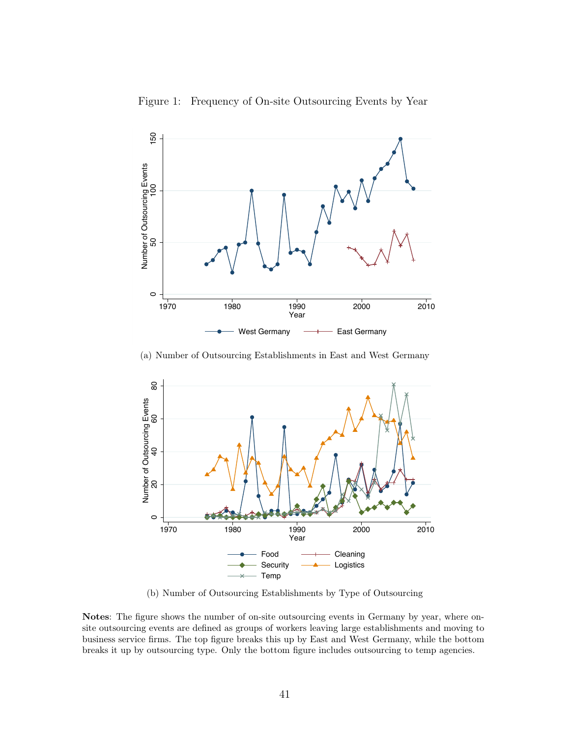<span id="page-43-0"></span>



(a) Number of Outsourcing Establishments in East and West Germany



(b) Number of Outsourcing Establishments by Type of Outsourcing

Notes: The figure shows the number of on-site outsourcing events in Germany by year, where onsite outsourcing events are defined as groups of workers leaving large establishments and moving to business service firms. The top figure breaks this up by East and West Germany, while the bottom breaks it up by outsourcing type. Only the bottom figure includes outsourcing to temp agencies.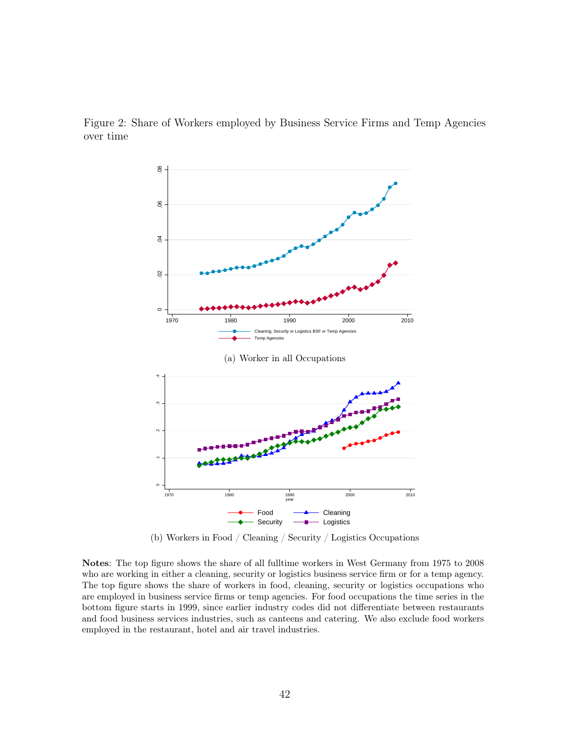

<span id="page-44-0"></span>

(b) Workers in Food / Cleaning / Security / Logistics Occupations

Notes: The top figure shows the share of all fulltime workers in West Germany from 1975 to 2008 who are working in either a cleaning, security or logistics business service firm or for a temp agency. The top figure shows the share of workers in food, cleaning, security or logistics occupations who are employed in business service firms or temp agencies. For food occupations the time series in the bottom figure starts in 1999, since earlier industry codes did not differentiate between restaurants and food business services industries, such as canteens and catering. We also exclude food workers employed in the restaurant, hotel and air travel industries.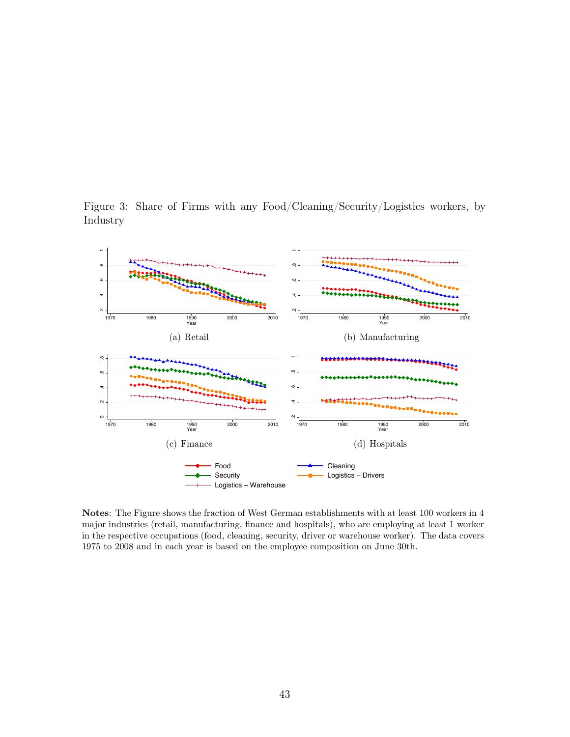<span id="page-45-0"></span>Figure 3: Share of Firms with any Food/Cleaning/Security/Logistics workers, by Industry



Notes: The Figure shows the fraction of West German establishments with at least 100 workers in 4 major industries (retail, manufacturing, finance and hospitals), who are employing at least 1 worker in the respective occupations (food, cleaning, security, driver or warehouse worker). The data covers 1975 to 2008 and in each year is based on the employee composition on June 30th.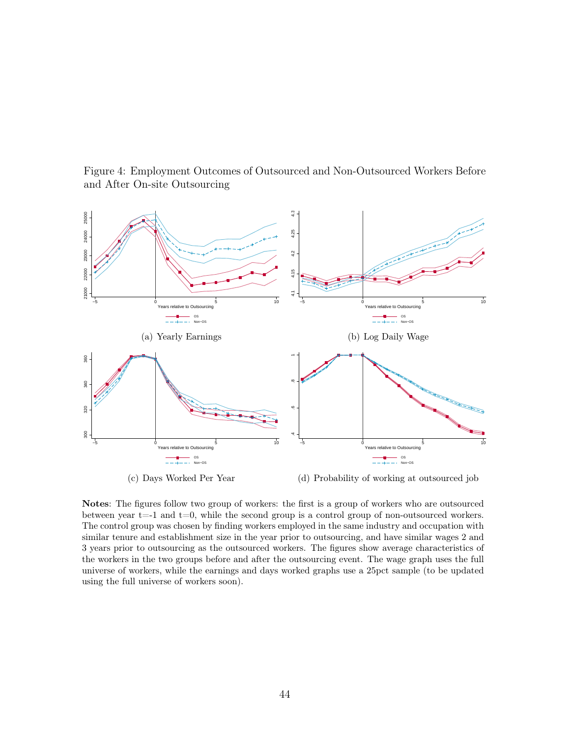<span id="page-46-0"></span>Figure 4: Employment Outcomes of Outsourced and Non-Outsourced Workers Before and After On-site Outsourcing



Notes: The figures follow two group of workers: the first is a group of workers who are outsourced between year  $t=1$  and  $t=0$ , while the second group is a control group of non-outsourced workers. The control group was chosen by finding workers employed in the same industry and occupation with similar tenure and establishment size in the year prior to outsourcing, and have similar wages 2 and 3 years prior to outsourcing as the outsourced workers. The figures show average characteristics of the workers in the two groups before and after the outsourcing event. The wage graph uses the full universe of workers, while the earnings and days worked graphs use a 25pct sample (to be updated using the full universe of workers soon).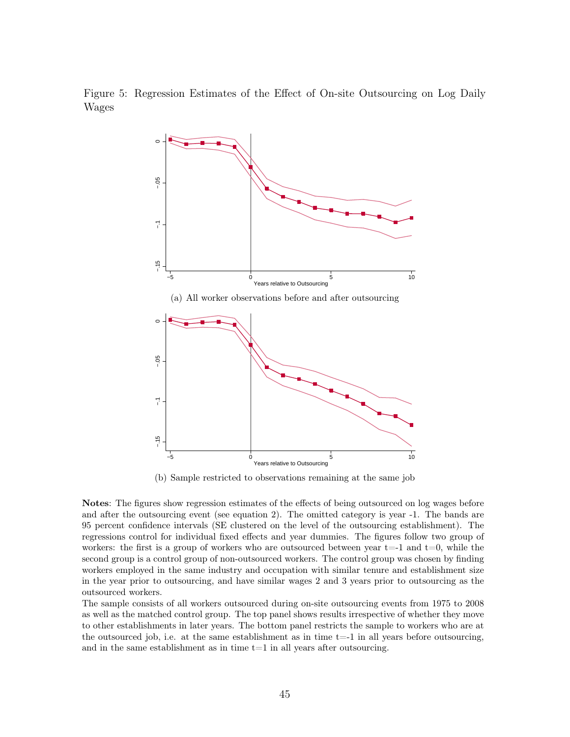Figure 5: Regression Estimates of the Effect of On-site Outsourcing on Log Daily Wages

<span id="page-47-0"></span>

(b) Sample restricted to observations remaining at the same job

Notes: The figures show regression estimates of the effects of being outsourced on log wages before and after the outsourcing event (see equation 2). The omitted category is year -1. The bands are 95 percent confidence intervals (SE clustered on the level of the outsourcing establishment). The regressions control for individual fixed effects and year dummies. The figures follow two group of workers: the first is a group of workers who are outsourced between year  $t=1$  and  $t=0$ , while the second group is a control group of non-outsourced workers. The control group was chosen by finding workers employed in the same industry and occupation with similar tenure and establishment size in the year prior to outsourcing, and have similar wages 2 and 3 years prior to outsourcing as the outsourced workers.

The sample consists of all workers outsourced during on-site outsourcing events from 1975 to 2008 as well as the matched control group. The top panel shows results irrespective of whether they move to other establishments in later years. The bottom panel restricts the sample to workers who are at the outsourced job, i.e. at the same establishment as in time  $t=1$  in all years before outsourcing, and in the same establishment as in time  $t=1$  in all years after outsourcing.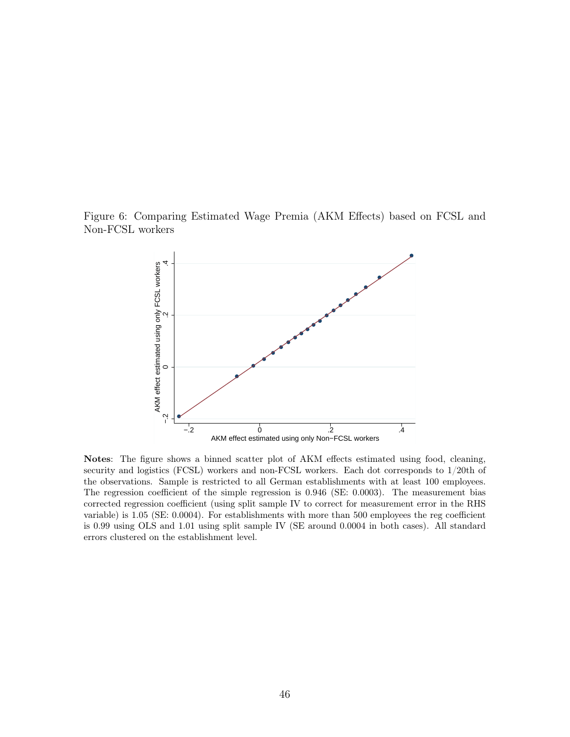Figure 6: Comparing Estimated Wage Premia (AKM Effects) based on FCSL and Non-FCSL workers

<span id="page-48-0"></span>

Notes: The figure shows a binned scatter plot of AKM effects estimated using food, cleaning, security and logistics (FCSL) workers and non-FCSL workers. Each dot corresponds to 1/20th of the observations. Sample is restricted to all German establishments with at least 100 employees. The regression coefficient of the simple regression is 0.946 (SE: 0.0003). The measurement bias corrected regression coefficient (using split sample IV to correct for measurement error in the RHS variable) is 1.05 (SE: 0.0004). For establishments with more than 500 employees the reg coefficient is 0.99 using OLS and 1.01 using split sample IV (SE around 0.0004 in both cases). All standard errors clustered on the establishment level.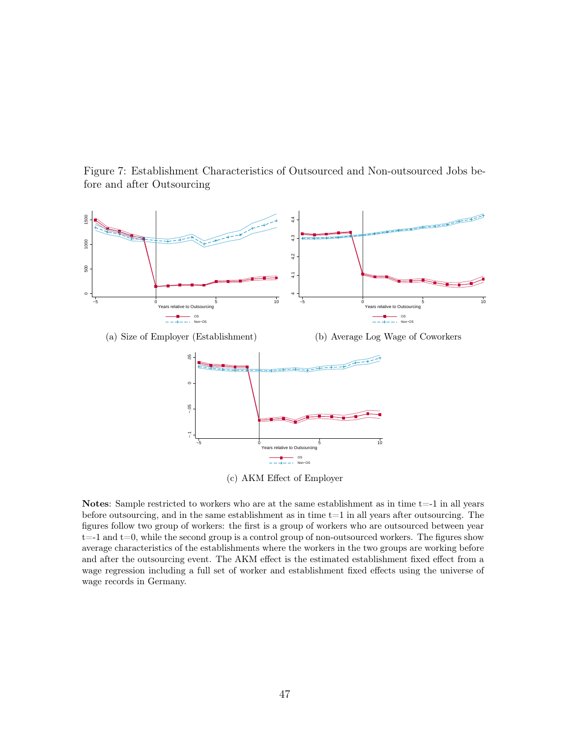<span id="page-49-0"></span>Figure 7: Establishment Characteristics of Outsourced and Non-outsourced Jobs before and after Outsourcing



(c) AKM Effect of Employer

Notes: Sample restricted to workers who are at the same establishment as in time  $t=-1$  in all years before outsourcing, and in the same establishment as in time t=1 in all years after outsourcing. The figures follow two group of workers: the first is a group of workers who are outsourced between year  $t=-1$  and  $t=0$ , while the second group is a control group of non-outsourced workers. The figures show average characteristics of the establishments where the workers in the two groups are working before and after the outsourcing event. The AKM effect is the estimated establishment fixed effect from a wage regression including a full set of worker and establishment fixed effects using the universe of wage records in Germany.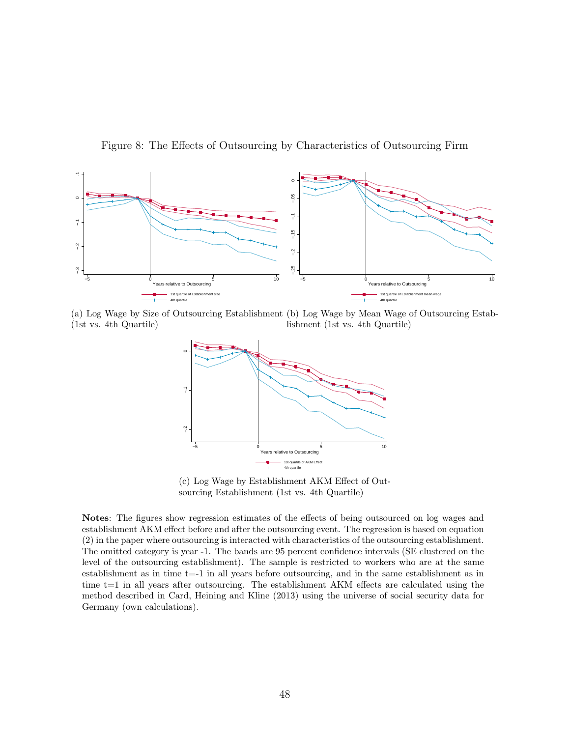<span id="page-50-0"></span>Figure 8: The Effects of Outsourcing by Characteristics of Outsourcing Firm



(a) Log Wage by Size of Outsourcing Establishment (b) Log Wage by Mean Wage of Outsourcing Estab-(1st vs. 4th Quartile) lishment (1st vs. 4th Quartile)



(c) Log Wage by Establishment AKM Effect of Outsourcing Establishment (1st vs. 4th Quartile)

Notes: The figures show regression estimates of the effects of being outsourced on log wages and establishment AKM effect before and after the outsourcing event. The regression is based on equation (2) in the paper where outsourcing is interacted with characteristics of the outsourcing establishment. The omitted category is year -1. The bands are 95 percent confidence intervals (SE clustered on the level of the outsourcing establishment). The sample is restricted to workers who are at the same establishment as in time t=-1 in all years before outsourcing, and in the same establishment as in time  $t=1$  in all years after outsourcing. The establishment AKM effects are calculated using the method described in Card, Heining and Kline (2013) using the universe of social security data for Germany (own calculations).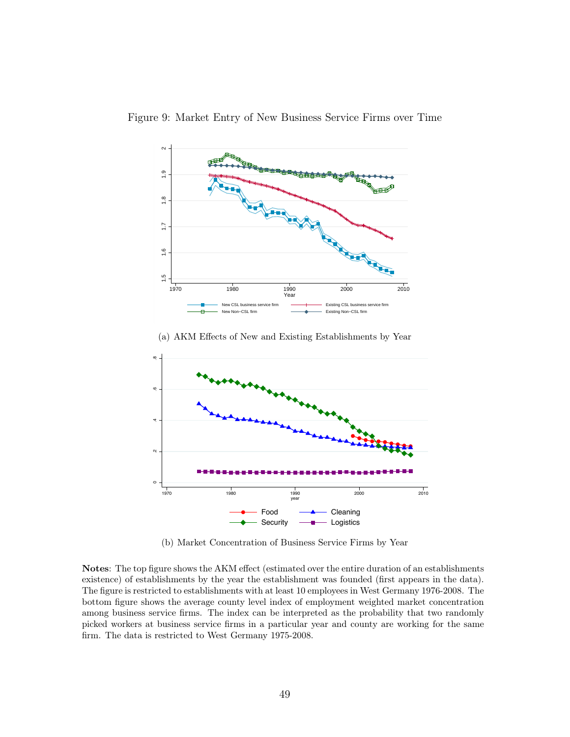<span id="page-51-0"></span>

Figure 9: Market Entry of New Business Service Firms over Time

(a) AKM Effects of New and Existing Establishments by Year



(b) Market Concentration of Business Service Firms by Year

Notes: The top figure shows the AKM effect (estimated over the entire duration of an establishments existence) of establishments by the year the establishment was founded (first appears in the data). The figure is restricted to establishments with at least 10 employees in West Germany 1976-2008. The bottom figure shows the average county level index of employment weighted market concentration among business service firms. The index can be interpreted as the probability that two randomly picked workers at business service firms in a particular year and county are working for the same firm. The data is restricted to West Germany 1975-2008.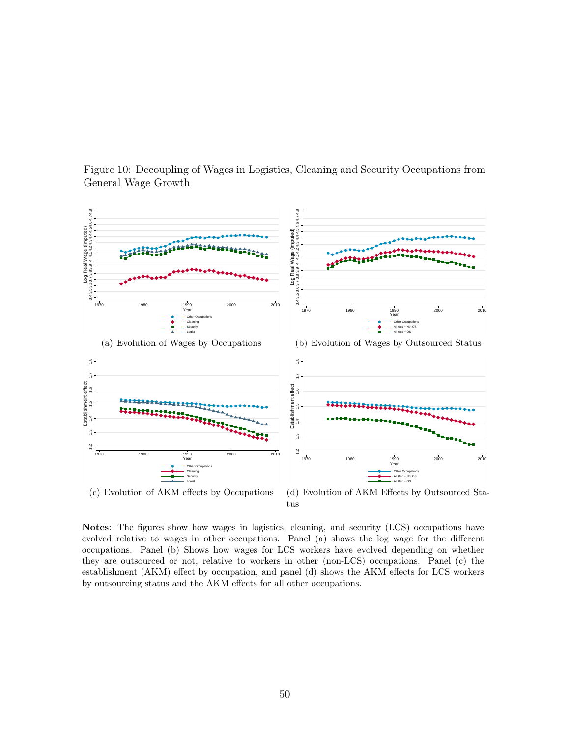

<span id="page-52-0"></span>Figure 10: Decoupling of Wages in Logistics, Cleaning and Security Occupations from General Wage Growth

(d) Evolution of AKM Effects by Outsourced Status

Notes: The figures show how wages in logistics, cleaning, and security (LCS) occupations have evolved relative to wages in other occupations. Panel (a) shows the log wage for the different occupations. Panel (b) Shows how wages for LCS workers have evolved depending on whether they are outsourced or not, relative to workers in other (non-LCS) occupations. Panel (c) the establishment (AKM) effect by occupation, and panel (d) shows the AKM effects for LCS workers by outsourcing status and the AKM effects for all other occupations.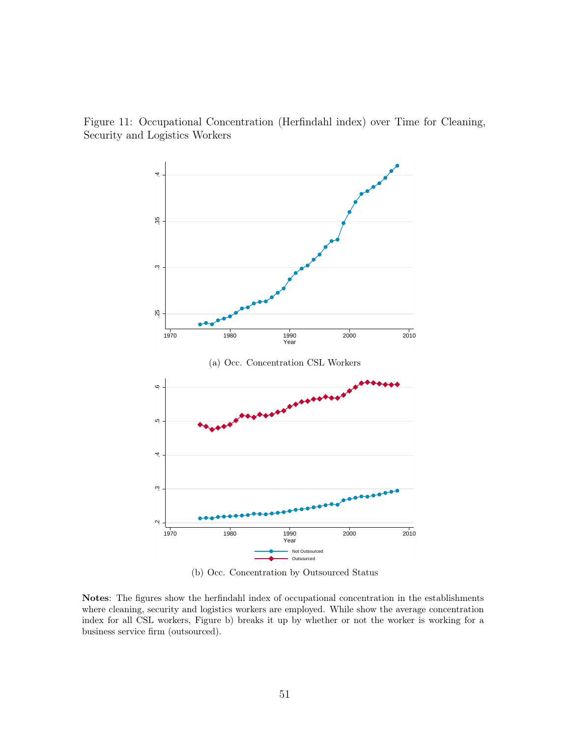Figure 11: Occupational Concentration (Herfindahl index) over Time for Cleaning, Security and Logistics Workers

<span id="page-53-0"></span>

(b) Occ. Concentration by Outsourced Status

Notes: The figures show the herfindahl index of occupational concentration in the establishments where cleaning, security and logistics workers are employed. While show the average concentration index for all CSL workers, Figure b) breaks it up by whether or not the worker is working for a business service firm (outsourced).